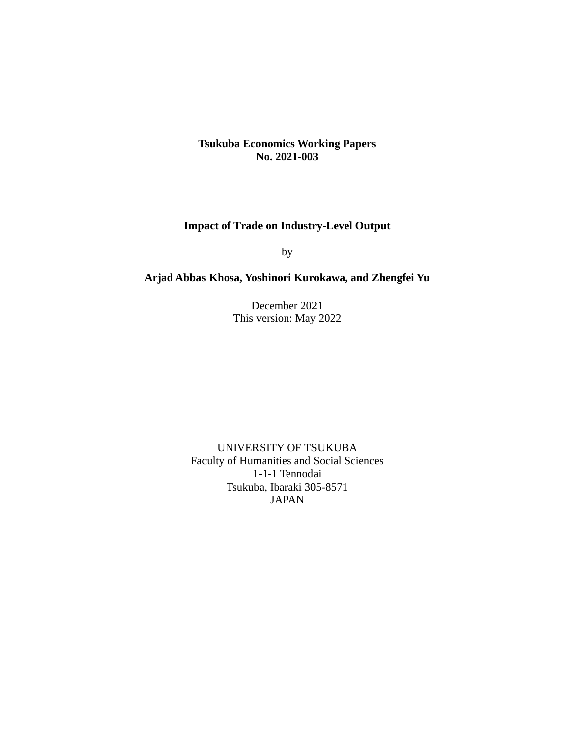# **Tsukuba Economics Working Papers No. 2021-003**

# **Impact of Trade on Industry-Level Output**

by

# **Arjad Abbas Khosa, Yoshinori Kurokawa, and Zhengfei Yu**

December 2021 This version: May 2022

UNIVERSITY OF TSUKUBA Faculty of Humanities and Social Sciences 1-1-1 Tennodai Tsukuba, Ibaraki 305-8571 JAPAN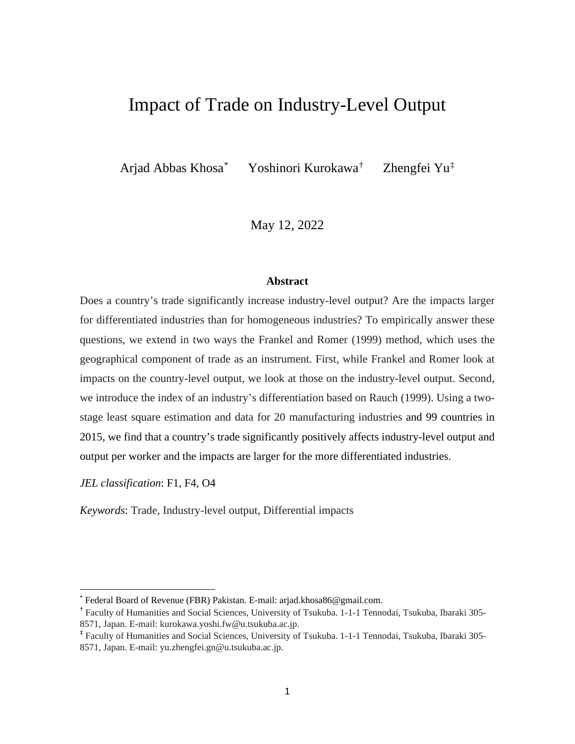# Impact of Trade on Industry-Level Output

Arjad Abbas Khosa[\\*](#page-1-0)

Yoshinori Kurokawa[†](#page-1-1)

Zhengfei Yu[‡](#page-1-2)

May 12, 2022

## **Abstract**

Does a country's trade significantly increase industry-level output? Are the impacts larger for differentiated industries than for homogeneous industries? To empirically answer these questions, we extend in two ways the Frankel and Romer (1999) method, which uses the geographical component of trade as an instrument. First, while Frankel and Romer look at impacts on the country-level output, we look at those on the industry-level output. Second, we introduce the index of an industry's differentiation based on Rauch (1999). Using a twostage least square estimation and data for 20 manufacturing industries and 99 countries in 2015, we find that a country's trade significantly positively affects industry-level output and output per worker and the impacts are larger for the more differentiated industries.

*JEL classification*: F1, F4, O4

*Keywords*: Trade, Industry-level output, Differential impacts

<span id="page-1-0"></span><sup>\*</sup> Federal Board of Revenue (FBR) Pakistan. E-mail: arjad.khosa86@gmail.com.

<span id="page-1-1"></span><sup>†</sup> Faculty of Humanities and Social Sciences, University of Tsukuba. 1-1-1 Tennodai, Tsukuba, Ibaraki 305- 8571, Japan. E-mail: [kurokawa.yoshi.fw@u.tsukuba.ac.jp.](mailto:kurokawa.yoshi.fw@u.tsukuba.ac.jp)

<span id="page-1-2"></span><sup>‡</sup> Faculty of Humanities and Social Sciences, University of Tsukuba. 1-1-1 Tennodai, Tsukuba, Ibaraki 305- 8571, Japan. E-mail: [yu.zhengfei.gn@u.tsukuba.ac.jp.](mailto:kurokawa.yoshi.fw@u.tsukuba.ac.jp)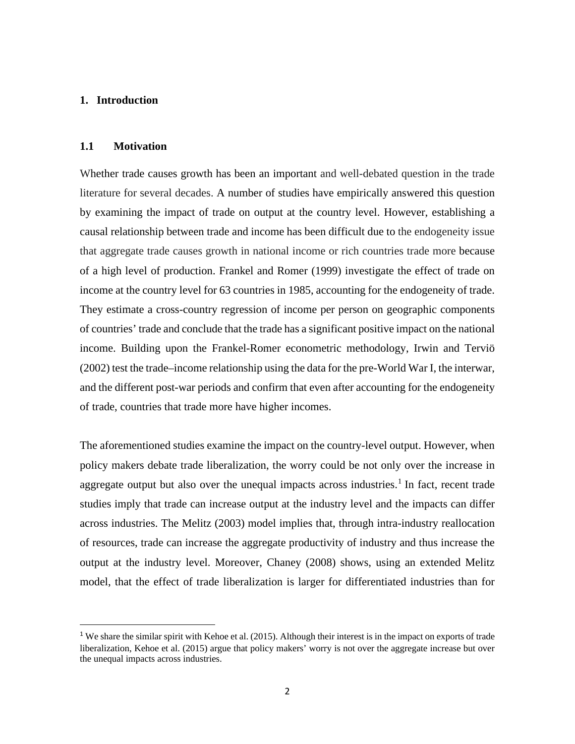## **1. Introduction**

#### **1.1 Motivation**

Whether trade causes growth has been an important and well-debated question in the trade literature for several decades. A number of studies have empirically answered this question by examining the impact of trade on output at the country level. However, establishing a causal relationship between trade and income has been difficult due to the endogeneity issue that aggregate trade causes growth in national income or rich countries trade more because of a high level of production. Frankel and Romer (1999) investigate the effect of trade on income at the country level for 63 countries in 1985, accounting for the endogeneity of trade. They estimate a cross-country regression of income per person on geographic components of countries' trade and conclude that the trade has a significant positive impact on the national income. Building upon the Frankel-Romer econometric methodology, Irwin and Terviö (2002) test the trade–income relationship using the data for the pre-World War I, the interwar, and the different post-war periods and confirm that even after accounting for the endogeneity of trade, countries that trade more have higher incomes.

The aforementioned studies examine the impact on the country-level output. However, when policy makers debate trade liberalization, the worry could be not only over the increase in aggregate output but also over the unequal impacts across industries.<sup>[1](#page-2-0)</sup> In fact, recent trade studies imply that trade can increase output at the industry level and the impacts can differ across industries. The Melitz (2003) model implies that, through intra-industry reallocation of resources, trade can increase the aggregate productivity of industry and thus increase the output at the industry level. Moreover, Chaney (2008) shows, using an extended Melitz model, that the effect of trade liberalization is larger for differentiated industries than for

<span id="page-2-0"></span><sup>&</sup>lt;sup>1</sup> We share the similar spirit with Kehoe et al. (2015). Although their interest is in the impact on exports of trade liberalization, Kehoe et al. (2015) argue that policy makers' worry is not over the aggregate increase but over the unequal impacts across industries.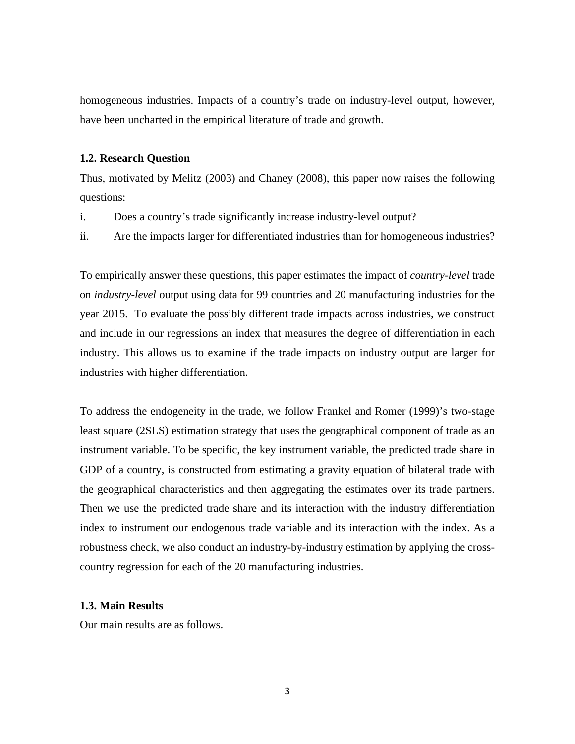homogeneous industries. Impacts of a country's trade on industry-level output, however, have been uncharted in the empirical literature of trade and growth.

#### **1.2. Research Question**

Thus, motivated by Melitz (2003) and Chaney (2008), this paper now raises the following questions:

- i. Does a country's trade significantly increase industry-level output?
- ii. Are the impacts larger for differentiated industries than for homogeneous industries?

To empirically answer these questions, this paper estimates the impact of *country-level* trade on *industry-level* output using data for 99 countries and 20 manufacturing industries for the year 2015. To evaluate the possibly different trade impacts across industries, we construct and include in our regressions an index that measures the degree of differentiation in each industry. This allows us to examine if the trade impacts on industry output are larger for industries with higher differentiation.

To address the endogeneity in the trade, we follow Frankel and Romer (1999)'s two-stage least square (2SLS) estimation strategy that uses the geographical component of trade as an instrument variable. To be specific, the key instrument variable, the predicted trade share in GDP of a country, is constructed from estimating a gravity equation of bilateral trade with the geographical characteristics and then aggregating the estimates over its trade partners. Then we use the predicted trade share and its interaction with the industry differentiation index to instrument our endogenous trade variable and its interaction with the index. As a robustness check, we also conduct an industry-by-industry estimation by applying the crosscountry regression for each of the 20 manufacturing industries.

## **1.3. Main Results**

Our main results are as follows.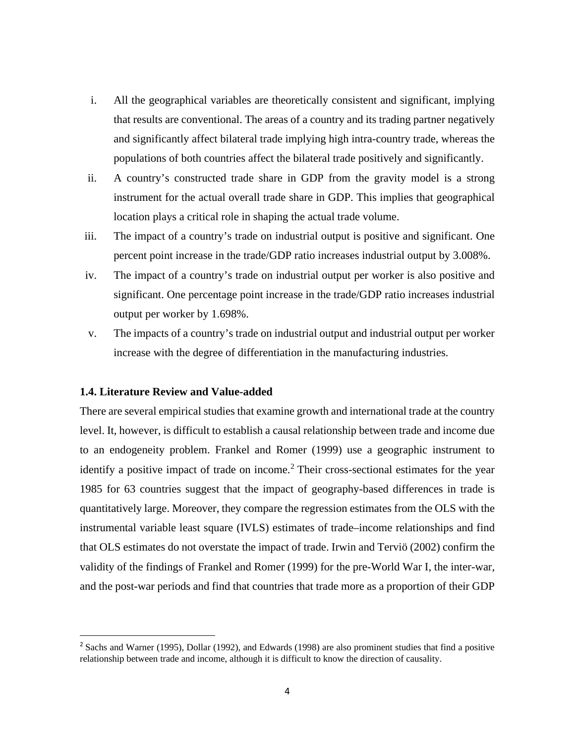- i. All the geographical variables are theoretically consistent and significant, implying that results are conventional. The areas of a country and its trading partner negatively and significantly affect bilateral trade implying high intra-country trade, whereas the populations of both countries affect the bilateral trade positively and significantly.
- ii. A country's constructed trade share in GDP from the gravity model is a strong instrument for the actual overall trade share in GDP. This implies that geographical location plays a critical role in shaping the actual trade volume.
- iii. The impact of a country's trade on industrial output is positive and significant. One percent point increase in the trade/GDP ratio increases industrial output by 3.008%.
- iv. The impact of a country's trade on industrial output per worker is also positive and significant. One percentage point increase in the trade/GDP ratio increases industrial output per worker by 1.698%.
- v. The impacts of a country's trade on industrial output and industrial output per worker increase with the degree of differentiation in the manufacturing industries.

#### **1.4. Literature Review and Value-added**

There are several empirical studies that examine growth and international trade at the country level. It, however, is difficult to establish a causal relationship between trade and income due to an endogeneity problem. Frankel and Romer (1999) use a geographic instrument to identify a positive impact of trade on income.<sup>[2](#page-4-0)</sup> Their cross-sectional estimates for the year 1985 for 63 countries suggest that the impact of geography-based differences in trade is quantitatively large. Moreover, they compare the regression estimates from the OLS with the instrumental variable least square (IVLS) estimates of trade–income relationships and find that OLS estimates do not overstate the impact of trade. Irwin and Terviö (2002) confirm the validity of the findings of Frankel and Romer (1999) for the pre-World War I, the inter-war, and the post-war periods and find that countries that trade more as a proportion of their GDP

<span id="page-4-0"></span><sup>&</sup>lt;sup>2</sup> Sachs and Warner (1995), Dollar (1992), and Edwards (1998) are also prominent studies that find a positive relationship between trade and income, although it is difficult to know the direction of causality.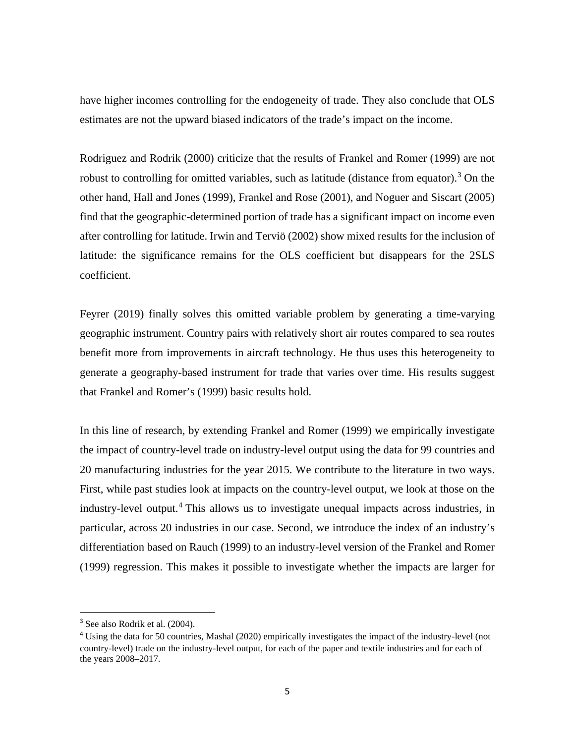have higher incomes controlling for the endogeneity of trade. They also conclude that OLS estimates are not the upward biased indicators of the trade's impact on the income.

Rodriguez and Rodrik (2000) criticize that the results of Frankel and Romer (1999) are not robust to controlling for omitted variables, such as latitude (distance from equator).<sup>[3](#page-5-0)</sup> On the other hand, Hall and Jones (1999), Frankel and Rose (2001), and Noguer and Siscart (2005) find that the geographic-determined portion of trade has a significant impact on income even after controlling for latitude. Irwin and Terviö (2002) show mixed results for the inclusion of latitude: the significance remains for the OLS coefficient but disappears for the 2SLS coefficient.

Feyrer (2019) finally solves this omitted variable problem by generating a time-varying geographic instrument. Country pairs with relatively short air routes compared to sea routes benefit more from improvements in aircraft technology. He thus uses this heterogeneity to generate a geography-based instrument for trade that varies over time. His results suggest that Frankel and Romer's (1999) basic results hold.

In this line of research, by extending Frankel and Romer (1999) we empirically investigate the impact of country-level trade on industry-level output using the data for 99 countries and 20 manufacturing industries for the year 2015. We contribute to the literature in two ways. First, while past studies look at impacts on the country-level output, we look at those on the industry-level output.[4](#page-5-1) This allows us to investigate unequal impacts across industries, in particular, across 20 industries in our case. Second, we introduce the index of an industry's differentiation based on Rauch (1999) to an industry-level version of the Frankel and Romer (1999) regression. This makes it possible to investigate whether the impacts are larger for

<span id="page-5-0"></span><sup>&</sup>lt;sup>3</sup> See also Rodrik et al. (2004).

<span id="page-5-1"></span><sup>4</sup> Using the data for 50 countries, Mashal (2020) empirically investigates the impact of the industry-level (not country-level) trade on the industry-level output, for each of the paper and textile industries and for each of the years 2008–2017.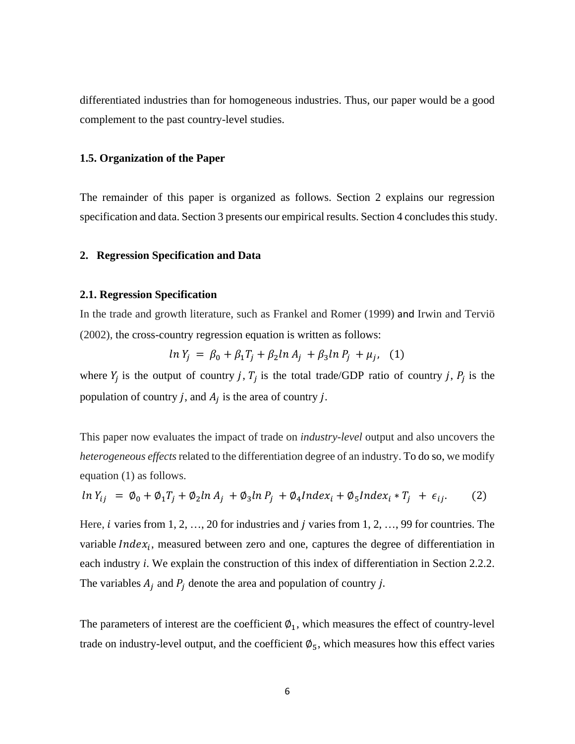differentiated industries than for homogeneous industries. Thus, our paper would be a good complement to the past country-level studies.

#### **1.5. Organization of the Paper**

The remainder of this paper is organized as follows. Section 2 explains our regression specification and data. Section 3 presents our empirical results. Section 4 concludes this study.

#### **2. Regression Specification and Data**

#### **2.1. Regression Specification**

In the trade and growth literature, such as Frankel and Romer (1999) and Irwin and Terviö (2002), the cross-country regression equation is written as follows:

$$
\ln Y_j = \beta_0 + \beta_1 T_j + \beta_2 \ln A_j + \beta_3 \ln P_j + \mu_j, \quad (1)
$$

where  $Y_i$  is the output of country j,  $T_i$  is the total trade/GDP ratio of country j,  $P_i$  is the population of country *j*, and  $A_i$  is the area of country *j*.

This paper now evaluates the impact of trade on *industry-level* output and also uncovers the *heterogeneous effects*related to the differentiation degree of an industry. To do so, we modify equation (1) as follows.

$$
\ln Y_{ij} = \emptyset_0 + \emptyset_1 T_j + \emptyset_2 \ln A_j + \emptyset_3 \ln P_j + \emptyset_4 \ln \left( \frac{x_i + \emptyset_5 \ln \left( \frac{x_i + \gamma}{2} \right)}{1 + \epsilon_{ij}} \right). \tag{2}
$$

Here, *i* varies from  $1, 2, ..., 20$  for industries and *j* varies from  $1, 2, ..., 99$  for countries. The variable  $Index_i$ , measured between zero and one, captures the degree of differentiation in each industry *i*. We explain the construction of this index of differentiation in Section 2.2.2. The variables  $A_i$  and  $P_i$  denote the area and population of country j.

The parameters of interest are the coefficient  $\varphi_1$ , which measures the effect of country-level trade on industry-level output, and the coefficient  $\varnothing_5$ , which measures how this effect varies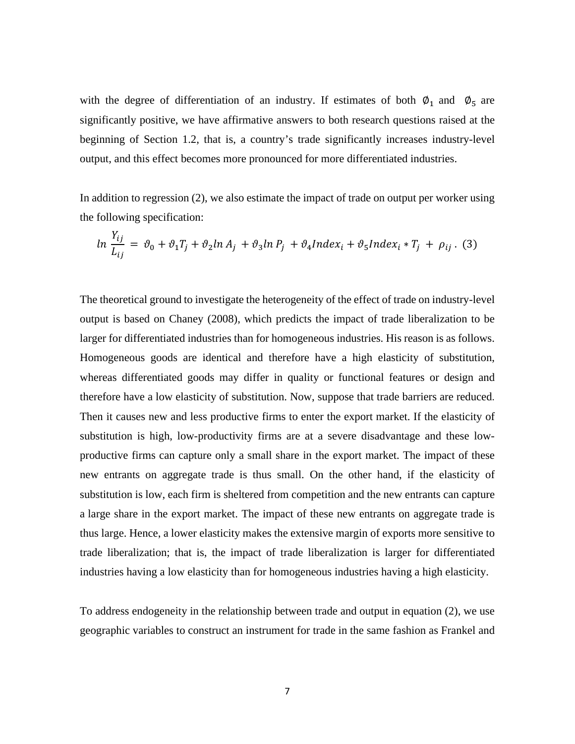with the degree of differentiation of an industry. If estimates of both  $\varnothing_1$  and  $\varnothing_5$  are significantly positive, we have affirmative answers to both research questions raised at the beginning of Section 1.2, that is, a country's trade significantly increases industry-level output, and this effect becomes more pronounced for more differentiated industries.

In addition to regression (2), we also estimate the impact of trade on output per worker using the following specification:

 $\ddot{\phantom{a}}$ 

$$
\ln \frac{Y_{ij}}{L_{ij}} = \vartheta_0 + \vartheta_1 T_j + \vartheta_2 \ln A_j + \vartheta_3 \ln P_j + \vartheta_4 \ln \frac{d\alpha_i}{dt} + \vartheta_5 \ln \frac{d\alpha_i}{dt} + T_j + \rho_{ij}.
$$
 (3)

The theoretical ground to investigate the heterogeneity of the effect of trade on industry-level output is based on Chaney (2008), which predicts the impact of trade liberalization to be larger for differentiated industries than for homogeneous industries. His reason is as follows. Homogeneous goods are identical and therefore have a high elasticity of substitution, whereas differentiated goods may differ in quality or functional features or design and therefore have a low elasticity of substitution. Now, suppose that trade barriers are reduced. Then it causes new and less productive firms to enter the export market. If the elasticity of substitution is high, low-productivity firms are at a severe disadvantage and these lowproductive firms can capture only a small share in the export market. The impact of these new entrants on aggregate trade is thus small. On the other hand, if the elasticity of substitution is low, each firm is sheltered from competition and the new entrants can capture a large share in the export market. The impact of these new entrants on aggregate trade is thus large. Hence, a lower elasticity makes the extensive margin of exports more sensitive to trade liberalization; that is, the impact of trade liberalization is larger for differentiated industries having a low elasticity than for homogeneous industries having a high elasticity.

To address endogeneity in the relationship between trade and output in equation (2), we use geographic variables to construct an instrument for trade in the same fashion as Frankel and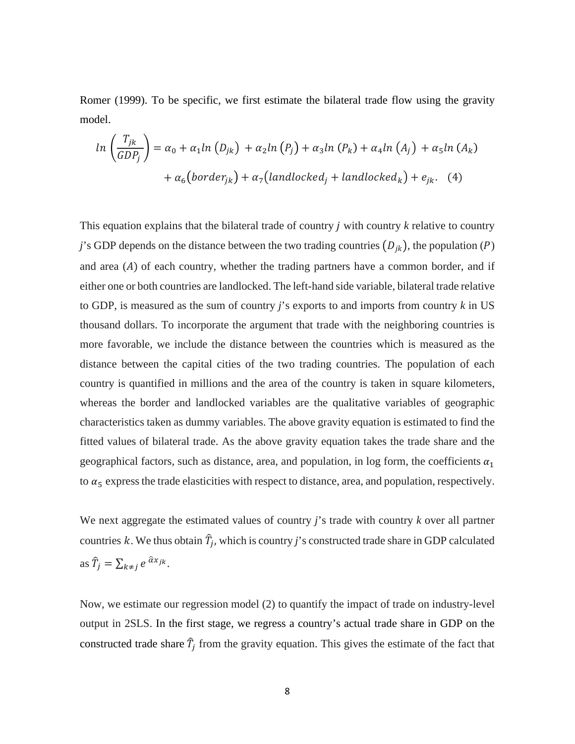Romer (1999). To be specific, we first estimate the bilateral trade flow using the gravity model.

$$
ln\left(\frac{T_{jk}}{GDP_j}\right) = \alpha_0 + \alpha_1 ln\left(D_{jk}\right) + \alpha_2 ln\left(P_j\right) + \alpha_3 ln\left(P_k\right) + \alpha_4 ln\left(A_j\right) + \alpha_5 ln\left(A_k\right) + \alpha_6 \left(border_{jk}\right) + \alpha_7 \left(dandlocked_j + landlocked_k\right) + e_{jk}.
$$
 (4)

This equation explains that the bilateral trade of country *j* with country *k* relative to country *j*'s GDP depends on the distance between the two trading countries  $(D_{jk})$ , the population (P) and area  $(A)$  of each country, whether the trading partners have a common border, and if either one or both countries are landlocked. The left-hand side variable, bilateral trade relative to GDP, is measured as the sum of country *j*'s exports to and imports from country *k* in US thousand dollars. To incorporate the argument that trade with the neighboring countries is more favorable, we include the distance between the countries which is measured as the distance between the capital cities of the two trading countries. The population of each country is quantified in millions and the area of the country is taken in square kilometers, whereas the border and landlocked variables are the qualitative variables of geographic characteristics taken as dummy variables. The above gravity equation is estimated to find the fitted values of bilateral trade. As the above gravity equation takes the trade share and the geographical factors, such as distance, area, and population, in log form, the coefficients  $\alpha_1$ to  $\alpha_5$  express the trade elasticities with respect to distance, area, and population, respectively.

We next aggregate the estimated values of country *j*'s trade with country *k* over all partner countries k. We thus obtain  $\hat{T}_j$ , which is country *j*'s constructed trade share in GDP calculated as  $\hat{T}_j = \sum_{k \neq j} e^{\hat{\alpha} x_{jk}}$ .

Now, we estimate our regression model (2) to quantify the impact of trade on industry-level output in 2SLS. In the first stage, we regress a country's actual trade share in GDP on the constructed trade share  $\hat{T}_j$  from the gravity equation. This gives the estimate of the fact that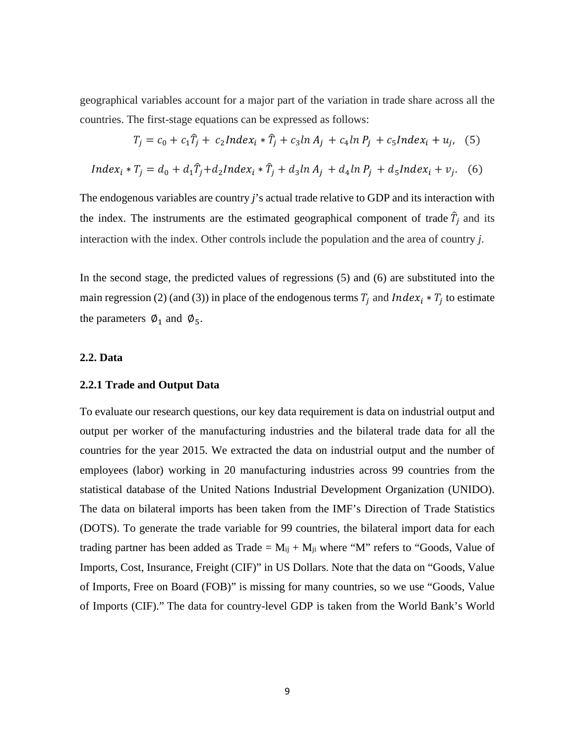geographical variables account for a major part of the variation in trade share across all the countries. The first-stage equations can be expressed as follows:

$$
T_j = c_0 + c_1 \hat{T}_j + c_2 Index_i * \hat{T}_j + c_3 ln A_j + c_4 ln P_j + c_5 Index_i + u_j, \quad (5)
$$

$$
Index_i * T_j = d_0 + d_1 \hat{T}_j + d_2 Index_i * \hat{T}_j + d_3 ln A_j + d_4 ln P_j + d_5 Index_i + v_j.
$$
 (6)

The endogenous variables are country *j*'s actual trade relative to GDP and its interaction with the index. The instruments are the estimated geographical component of trade  $\hat{T}_j$  and its interaction with the index. Other controls include the population and the area of country *j*.

In the second stage, the predicted values of regressions (5) and (6) are substituted into the main regression (2) (and (3)) in place of the endogenous terms  $T_i$  and  $Index_i * T_j$  to estimate the parameters  $\emptyset_1$  and  $\emptyset_5$ .

## **2.2. Data**

## **2.2.1 Trade and Output Data**

To evaluate our research questions, our key data requirement is data on industrial output and output per worker of the manufacturing industries and the bilateral trade data for all the countries for the year 2015. We extracted the data on industrial output and the number of employees (labor) working in 20 manufacturing industries across 99 countries from the statistical database of the United Nations Industrial Development Organization (UNIDO). The data on bilateral imports has been taken from the IMF's Direction of Trade Statistics (DOTS). To generate the trade variable for 99 countries, the bilateral import data for each trading partner has been added as Trade =  $M_{ii} + M_{ii}$  where "M" refers to "Goods, Value of Imports, Cost, Insurance, Freight (CIF)" in US Dollars. Note that the data on "Goods, Value of Imports, Free on Board (FOB)" is missing for many countries, so we use "Goods, Value of Imports (CIF)." The data for country-level GDP is taken from the World Bank's World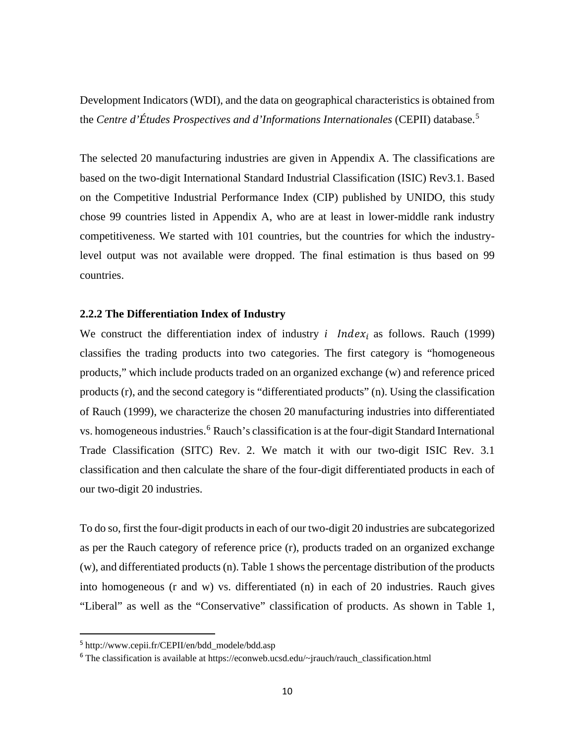Development Indicators (WDI), and the data on geographical characteristics is obtained from the *Centre d'Études Prospectives and d'Informations Internationales* (CEPII) database.[5](#page-10-0)

The selected 20 manufacturing industries are given in Appendix A. The classifications are based on the two-digit International Standard Industrial Classification (ISIC) Rev3.1. Based on the Competitive Industrial Performance Index (CIP) published by UNIDO, this study chose 99 countries listed in Appendix A, who are at least in lower-middle rank industry competitiveness. We started with 101 countries, but the countries for which the industrylevel output was not available were dropped. The final estimation is thus based on 99 countries.

#### **2.2.2 The Differentiation Index of Industry**

We construct the differentiation index of industry *i* Index<sub>i</sub> as follows. Rauch (1999) classifies the trading products into two categories. The first category is "homogeneous products," which include products traded on an organized exchange (w) and reference priced products (r), and the second category is "differentiated products" (n). Using the classification of Rauch (1999), we characterize the chosen 20 manufacturing industries into differentiated vs. homogeneous industries.<sup>[6](#page-10-1)</sup> Rauch's classification is at the four-digit Standard International Trade Classification (SITC) Rev. 2. We match it with our two-digit ISIC Rev. 3.1 classification and then calculate the share of the four-digit differentiated products in each of our two-digit 20 industries.

To do so, first the four-digit products in each of our two-digit 20 industries are subcategorized as per the Rauch category of reference price (r), products traded on an organized exchange (w), and differentiated products (n). Table 1 shows the percentage distribution of the products into homogeneous (r and w) vs. differentiated (n) in each of 20 industries. Rauch gives "Liberal" as well as the "Conservative" classification of products. As shown in Table 1,

<span id="page-10-0"></span><sup>5</sup> http://www.cepii.fr/CEPII/en/bdd\_modele/bdd.asp

<span id="page-10-1"></span><sup>6</sup> The classification is available at https://econweb.ucsd.edu/~jrauch/rauch\_classification.html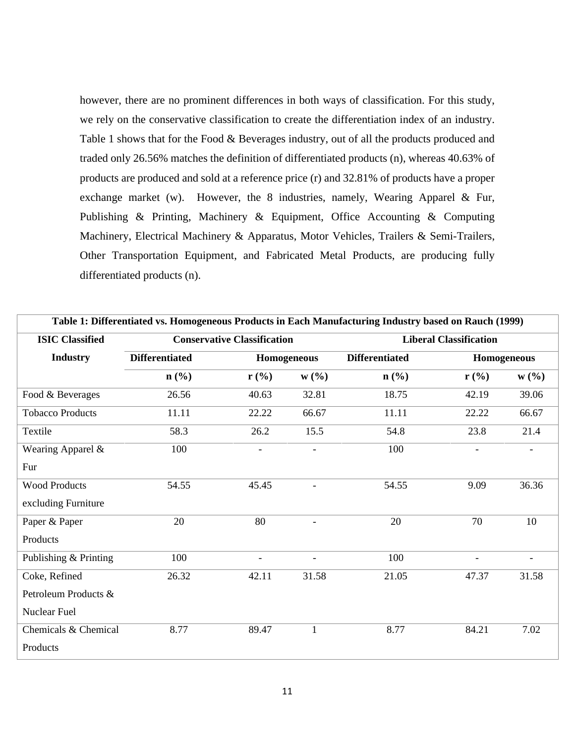however, there are no prominent differences in both ways of classification. For this study, we rely on the conservative classification to create the differentiation index of an industry. Table 1 shows that for the Food & Beverages industry, out of all the products produced and traded only 26.56% matches the definition of differentiated products (n), whereas 40.63% of products are produced and sold at a reference price (r) and 32.81% of products have a proper exchange market (w). However, the 8 industries, namely, Wearing Apparel & Fur, Publishing & Printing, Machinery & Equipment, Office Accounting & Computing Machinery, Electrical Machinery & Apparatus, Motor Vehicles, Trailers & Semi-Trailers, Other Transportation Equipment, and Fabricated Metal Products, are producing fully differentiated products (n).

| Table 1: Differentiated vs. Homogeneous Products in Each Manufacturing Industry based on Rauch (1999) |                       |                                    |                          |                               |                |                          |
|-------------------------------------------------------------------------------------------------------|-----------------------|------------------------------------|--------------------------|-------------------------------|----------------|--------------------------|
| <b>ISIC Classified</b>                                                                                |                       | <b>Conservative Classification</b> |                          | <b>Liberal Classification</b> |                |                          |
| <b>Industry</b>                                                                                       | <b>Differentiated</b> |                                    | Homogeneous              | <b>Differentiated</b>         |                | Homogeneous              |
|                                                                                                       | $n$ (%)               | $r$ (%)                            | W(%)                     | $n$ (%)                       | $r$ (%)        | W(%)                     |
| Food & Beverages                                                                                      | 26.56                 | 40.63                              | 32.81                    | 18.75                         | 42.19          | 39.06                    |
| <b>Tobacco Products</b>                                                                               | 11.11                 | 22.22                              | 66.67                    | 11.11                         | 22.22          | 66.67                    |
| Textile                                                                                               | 58.3                  | 26.2                               | 15.5                     | 54.8                          | 23.8           | 21.4                     |
| Wearing Apparel &                                                                                     | 100                   |                                    | $\overline{\phantom{a}}$ | 100                           |                |                          |
| Fur                                                                                                   |                       |                                    |                          |                               |                |                          |
| <b>Wood Products</b>                                                                                  | 54.55                 | 45.45                              |                          | 54.55                         | 9.09           | 36.36                    |
| excluding Furniture                                                                                   |                       |                                    |                          |                               |                |                          |
| Paper & Paper                                                                                         | 20                    | 80                                 | $\overline{\phantom{a}}$ | 20                            | 70             | 10                       |
| Products                                                                                              |                       |                                    |                          |                               |                |                          |
| Publishing & Printing                                                                                 | 100                   | $\overline{\phantom{a}}$           | $\overline{\phantom{a}}$ | 100                           | $\overline{a}$ | $\overline{\phantom{a}}$ |
| Coke, Refined                                                                                         | 26.32                 | 42.11                              | 31.58                    | 21.05                         | 47.37          | 31.58                    |
| Petroleum Products &                                                                                  |                       |                                    |                          |                               |                |                          |
| <b>Nuclear Fuel</b>                                                                                   |                       |                                    |                          |                               |                |                          |
| Chemicals & Chemical                                                                                  | 8.77                  | 89.47                              | $\mathbf{1}$             | 8.77                          | 84.21          | 7.02                     |
| Products                                                                                              |                       |                                    |                          |                               |                |                          |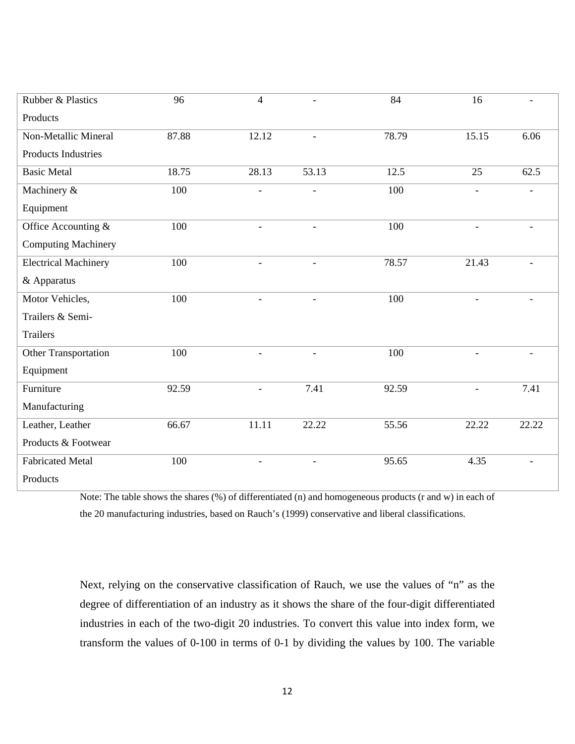| Rubber & Plastics           | 96    | $\overline{4}$           | $\overline{\phantom{a}}$ | 84    | 16                       |                |
|-----------------------------|-------|--------------------------|--------------------------|-------|--------------------------|----------------|
| Products                    |       |                          |                          |       |                          |                |
| Non-Metallic Mineral        | 87.88 | 12.12                    | $\overline{\phantom{a}}$ | 78.79 | 15.15                    | 6.06           |
| <b>Products Industries</b>  |       |                          |                          |       |                          |                |
| <b>Basic Metal</b>          | 18.75 | 28.13                    | 53.13                    | 12.5  | 25                       | 62.5           |
| Machinery &                 | 100   | $\overline{a}$           | $\blacksquare$           | 100   | $\qquad \qquad -$        | $\overline{a}$ |
| Equipment                   |       |                          |                          |       |                          |                |
| Office Accounting &         | 100   | $\overline{\phantom{a}}$ | $\overline{\phantom{a}}$ | 100   | $\overline{\phantom{a}}$ | -              |
| <b>Computing Machinery</b>  |       |                          |                          |       |                          |                |
| <b>Electrical Machinery</b> | 100   | $\overline{\phantom{a}}$ | $\overline{\phantom{a}}$ | 78.57 | 21.43                    |                |
| & Apparatus                 |       |                          |                          |       |                          |                |
| Motor Vehicles,             | 100   |                          |                          | 100   |                          |                |
| Trailers & Semi-            |       |                          |                          |       |                          |                |
| <b>Trailers</b>             |       |                          |                          |       |                          |                |
| Other Transportation        | 100   | $\overline{\phantom{a}}$ | $\overline{\phantom{a}}$ | 100   | $\overline{\phantom{0}}$ |                |
| Equipment                   |       |                          |                          |       |                          |                |
| Furniture                   | 92.59 | $\overline{\phantom{a}}$ | 7.41                     | 92.59 | $\overline{a}$           | 7.41           |
| Manufacturing               |       |                          |                          |       |                          |                |
| Leather, Leather            | 66.67 | 11.11                    | 22.22                    | 55.56 | 22.22                    | 22.22          |
| Products & Footwear         |       |                          |                          |       |                          |                |
| <b>Fabricated Metal</b>     | 100   | $\overline{a}$           | $\overline{\phantom{a}}$ | 95.65 | 4.35                     |                |
| Products                    |       |                          |                          |       |                          |                |

Note: The table shows the shares (%) of differentiated (n) and homogeneous products (r and w) in each of the 20 manufacturing industries, based on Rauch's (1999) conservative and liberal classifications.

Next, relying on the conservative classification of Rauch, we use the values of "n" as the degree of differentiation of an industry as it shows the share of the four-digit differentiated industries in each of the two-digit 20 industries. To convert this value into index form, we transform the values of 0-100 in terms of 0-1 by dividing the values by 100. The variable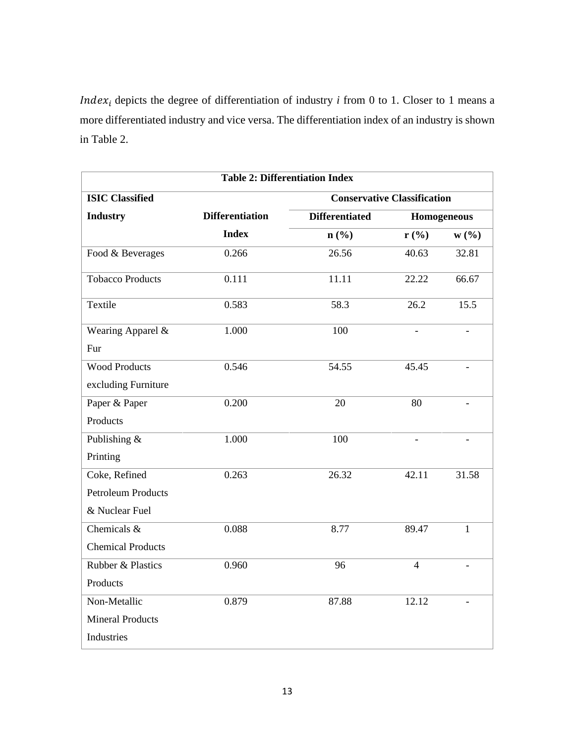*Index<sub>i</sub>* depicts the degree of differentiation of industry  $i$  from 0 to 1. Closer to 1 means a more differentiated industry and vice versa. The differentiation index of an industry is shown in Table 2.

| <b>Table 2: Differentiation Index</b> |                        |                                    |                |              |  |  |
|---------------------------------------|------------------------|------------------------------------|----------------|--------------|--|--|
| <b>ISIC Classified</b>                |                        | <b>Conservative Classification</b> |                |              |  |  |
| <b>Industry</b>                       | <b>Differentiation</b> | <b>Differentiated</b>              |                | Homogeneous  |  |  |
|                                       | <b>Index</b>           | $n\left(\frac{0}{0}\right)$        | $r$ (%)        | W(%)         |  |  |
| Food & Beverages                      | 0.266                  | 26.56                              | 40.63          | 32.81        |  |  |
| <b>Tobacco Products</b>               | 0.111                  | 11.11                              | 22.22          | 66.67        |  |  |
| Textile                               | 0.583                  | 58.3                               | 26.2           | 15.5         |  |  |
| Wearing Apparel &                     | 1.000                  | 100                                |                |              |  |  |
| Fur                                   |                        |                                    |                |              |  |  |
| <b>Wood Products</b>                  | 0.546                  | 54.55                              | 45.45          |              |  |  |
| excluding Furniture                   |                        |                                    |                |              |  |  |
| Paper & Paper                         | 0.200                  | 20                                 | 80             |              |  |  |
| Products                              |                        |                                    |                |              |  |  |
| Publishing &                          | 1.000                  | 100                                |                |              |  |  |
| Printing                              |                        |                                    |                |              |  |  |
| Coke, Refined                         | 0.263                  | 26.32                              | 42.11          | 31.58        |  |  |
| <b>Petroleum Products</b>             |                        |                                    |                |              |  |  |
| & Nuclear Fuel                        |                        |                                    |                |              |  |  |
| Chemicals $\&$                        | 0.088                  | 8.77                               | 89.47          | $\mathbf{1}$ |  |  |
| <b>Chemical Products</b>              |                        |                                    |                |              |  |  |
| Rubber & Plastics                     | 0.960                  | 96                                 | $\overline{4}$ |              |  |  |
| Products                              |                        |                                    |                |              |  |  |
| Non-Metallic                          | 0.879                  | 87.88                              | 12.12          |              |  |  |
| <b>Mineral Products</b>               |                        |                                    |                |              |  |  |
| Industries                            |                        |                                    |                |              |  |  |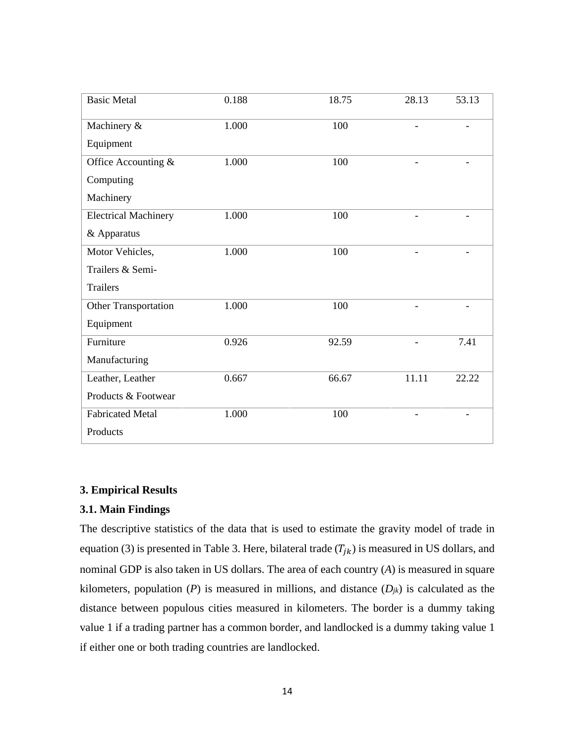| <b>Basic Metal</b>          | 0.188 | 18.75 | 28.13 | 53.13 |
|-----------------------------|-------|-------|-------|-------|
| Machinery &                 | 1.000 | 100   |       |       |
| Equipment                   |       |       |       |       |
| Office Accounting &         | 1.000 | 100   |       |       |
| Computing                   |       |       |       |       |
| Machinery                   |       |       |       |       |
| <b>Electrical Machinery</b> | 1.000 | 100   |       |       |
| & Apparatus                 |       |       |       |       |
| Motor Vehicles,             | 1.000 | 100   |       |       |
| Trailers & Semi-            |       |       |       |       |
| <b>Trailers</b>             |       |       |       |       |
| Other Transportation        | 1.000 | 100   |       |       |
| Equipment                   |       |       |       |       |
| Furniture                   | 0.926 | 92.59 |       | 7.41  |
| Manufacturing               |       |       |       |       |
| Leather, Leather            | 0.667 | 66.67 | 11.11 | 22.22 |
| Products & Footwear         |       |       |       |       |
| <b>Fabricated Metal</b>     | 1.000 | 100   |       |       |
| Products                    |       |       |       |       |

## **3. Empirical Results**

## **3.1. Main Findings**

The descriptive statistics of the data that is used to estimate the gravity model of trade in equation (3) is presented in Table 3. Here, bilateral trade  $(T_{jk})$  is measured in US dollars, and nominal GDP is also taken in US dollars. The area of each country (*A*) is measured in square kilometers, population  $(P)$  is measured in millions, and distance  $(D_{jk})$  is calculated as the distance between populous cities measured in kilometers. The border is a dummy taking value 1 if a trading partner has a common border, and landlocked is a dummy taking value 1 if either one or both trading countries are landlocked.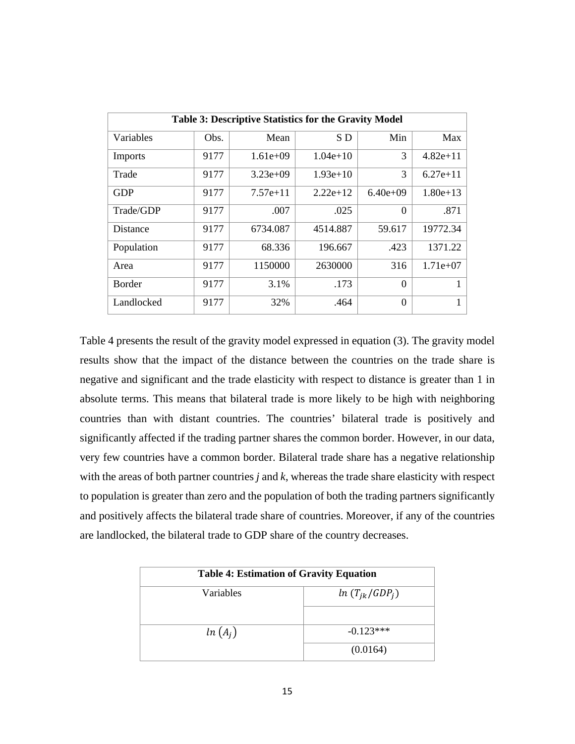| <b>Table 3: Descriptive Statistics for the Gravity Model</b> |      |            |            |            |            |
|--------------------------------------------------------------|------|------------|------------|------------|------------|
| Variables                                                    | Obs. | Mean       | SD         | Min        | Max        |
| Imports                                                      | 9177 | $1.61e+09$ | $1.04e+10$ | 3          | $4.82e+11$ |
| Trade                                                        | 9177 | $3.23e+09$ | $1.93e+10$ | 3          | $6.27e+11$ |
| <b>GDP</b>                                                   | 9177 | $7.57e+11$ | $2.22e+12$ | $6.40e+09$ | $1.80e+13$ |
| Trade/GDP                                                    | 9177 | .007       | .025       | $\Omega$   | .871       |
| Distance                                                     | 9177 | 6734.087   | 4514.887   | 59.617     | 19772.34   |
| Population                                                   | 9177 | 68.336     | 196.667    | .423       | 1371.22    |
| Area                                                         | 9177 | 1150000    | 2630000    | 316        | $1.71e+07$ |
| <b>Border</b>                                                | 9177 | 3.1%       | .173       | $\Omega$   | 1          |
| Landlocked                                                   | 9177 | 32%        | .464       | $\Omega$   | 1          |

Table 4 presents the result of the gravity model expressed in equation (3). The gravity model results show that the impact of the distance between the countries on the trade share is negative and significant and the trade elasticity with respect to distance is greater than 1 in absolute terms. This means that bilateral trade is more likely to be high with neighboring countries than with distant countries. The countries' bilateral trade is positively and significantly affected if the trading partner shares the common border. However, in our data, very few countries have a common border. Bilateral trade share has a negative relationship with the areas of both partner countries *j* and *k*, whereas the trade share elasticity with respect to population is greater than zero and the population of both the trading partners significantly and positively affects the bilateral trade share of countries. Moreover, if any of the countries are landlocked, the bilateral trade to GDP share of the country decreases.

| <b>Table 4: Estimation of Gravity Equation</b> |                    |  |  |  |
|------------------------------------------------|--------------------|--|--|--|
| Variables                                      | $ln(T_{ik}/GDP_i)$ |  |  |  |
|                                                |                    |  |  |  |
| $ln(A_i)$                                      | $-0.123***$        |  |  |  |
|                                                | (0.0164)           |  |  |  |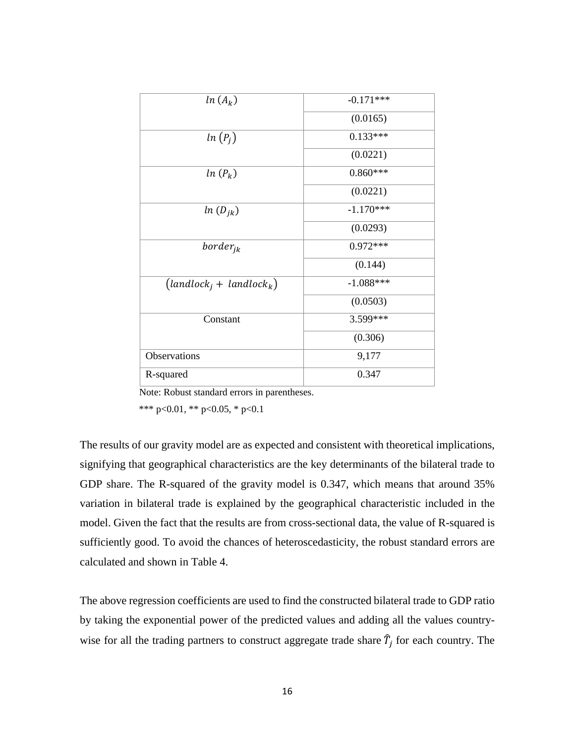| $ln(A_k)$                 | $-0.171***$ |
|---------------------------|-------------|
|                           | (0.0165)    |
| $ln(P_i)$                 | $0.133***$  |
|                           | (0.0221)    |
| $ln(P_k)$                 | $0.860***$  |
|                           | (0.0221)    |
| $ln(D_{ik})$              | $-1.170***$ |
|                           | (0.0293)    |
| $border_{jk}$             | $0.972***$  |
|                           | (0.144)     |
| $(landlocki + landlockk)$ | $-1.088***$ |
|                           | (0.0503)    |
| Constant                  | 3.599***    |
|                           | (0.306)     |
| Observations              | 9,177       |
| R-squared                 | 0.347       |

Note: Robust standard errors in parentheses.

\*\*\* p<0.01, \*\* p<0.05, \* p<0.1

The results of our gravity model are as expected and consistent with theoretical implications, signifying that geographical characteristics are the key determinants of the bilateral trade to GDP share. The R-squared of the gravity model is 0.347, which means that around 35% variation in bilateral trade is explained by the geographical characteristic included in the model. Given the fact that the results are from cross-sectional data, the value of R-squared is sufficiently good. To avoid the chances of heteroscedasticity, the robust standard errors are calculated and shown in Table 4.

The above regression coefficients are used to find the constructed bilateral trade to GDP ratio by taking the exponential power of the predicted values and adding all the values countrywise for all the trading partners to construct aggregate trade share  $\hat{T}_j$  for each country. The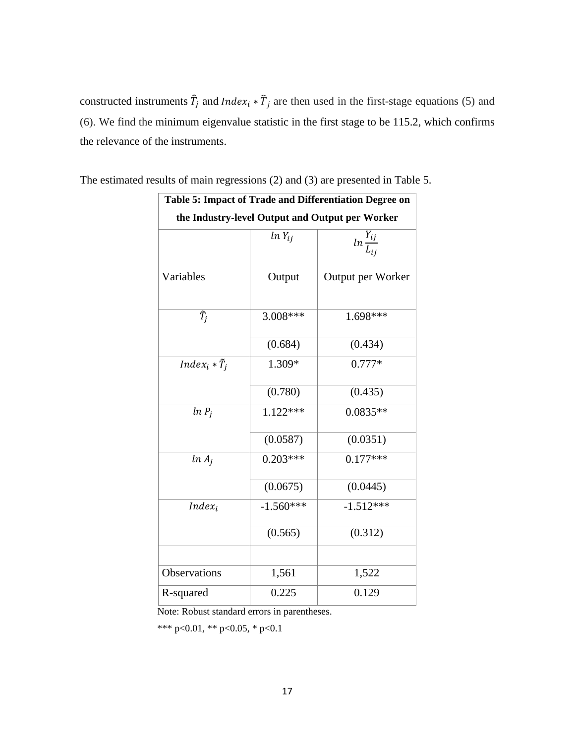constructed instruments  $\hat{T}_j$  and *Index<sub>i</sub>* \*  $\hat{T}_j$  are then used in the first-stage equations (5) and (6). We find the minimum eigenvalue statistic in the first stage to be 115.2, which confirms the relevance of the instruments.

| Table 5: Impact of Trade and Differentiation Degree on |             |                                                 |  |  |
|--------------------------------------------------------|-------------|-------------------------------------------------|--|--|
|                                                        |             | the Industry-level Output and Output per Worker |  |  |
|                                                        | $ln Y_{ij}$ | $\frac{Y_{ij}}{I_{ij}}$                         |  |  |
| Variables                                              | Output      | Output per Worker                               |  |  |
| $\tilde{T}_i$                                          | 3.008***    | 1.698***                                        |  |  |
|                                                        | (0.684)     | (0.434)                                         |  |  |
| $Index_i * \tilde{T}_i$                                | 1.309*      | $0.777*$                                        |  |  |
|                                                        | (0.780)     | (0.435)                                         |  |  |
| $ln P_i$                                               | $1.122***$  | $0.0835**$                                      |  |  |
|                                                        | (0.0587)    | (0.0351)                                        |  |  |
| $ln A_i$                                               | $0.203***$  | $0.177***$                                      |  |  |
|                                                        | (0.0675)    | (0.0445)                                        |  |  |
| $Index_i$                                              | $-1.560***$ | $-1.512***$                                     |  |  |
|                                                        | (0.565)     | (0.312)                                         |  |  |
|                                                        |             |                                                 |  |  |
| <b>Observations</b>                                    | 1,561       | 1,522                                           |  |  |
| R-squared                                              | 0.225       | 0.129                                           |  |  |

The estimated results of main regressions (2) and (3) are presented in Table 5.

Note: Robust standard errors in parentheses.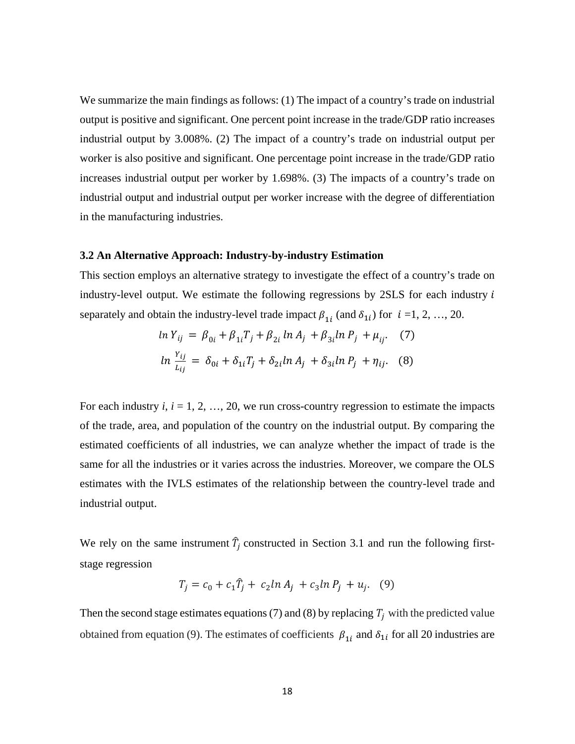We summarize the main findings as follows: (1) The impact of a country's trade on industrial output is positive and significant. One percent point increase in the trade/GDP ratio increases industrial output by 3.008%. (2) The impact of a country's trade on industrial output per worker is also positive and significant. One percentage point increase in the trade/GDP ratio increases industrial output per worker by 1.698%. (3) The impacts of a country's trade on industrial output and industrial output per worker increase with the degree of differentiation in the manufacturing industries.

#### **3.2 An Alternative Approach: Industry-by-industry Estimation**

This section employs an alternative strategy to investigate the effect of a country's trade on industry-level output. We estimate the following regressions by  $2SLS$  for each industry  $i$ separately and obtain the industry-level trade impact  $\beta_{1i}$  (and  $\delta_{1i}$ ) for  $i = 1, 2, ..., 20$ .

$$
\ln Y_{ij} = \beta_{0i} + \beta_{1i}T_j + \beta_{2i}\ln A_j + \beta_{3i}\ln P_j + \mu_{ij}.
$$
 (7)  

$$
\ln \frac{Y_{ij}}{L_{ij}} = \delta_{0i} + \delta_{1i}T_j + \delta_{2i}\ln A_j + \delta_{3i}\ln P_j + \eta_{ij}.
$$
 (8)

For each industry  $i, i = 1, 2, ..., 20$ , we run cross-country regression to estimate the impacts of the trade, area, and population of the country on the industrial output. By comparing the estimated coefficients of all industries, we can analyze whether the impact of trade is the same for all the industries or it varies across the industries. Moreover, we compare the OLS estimates with the IVLS estimates of the relationship between the country-level trade and industrial output.

We rely on the same instrument  $\hat{T}_j$  constructed in Section 3.1 and run the following firststage regression

$$
T_j = c_0 + c_1 \hat{T}_j + c_2 \ln A_j + c_3 \ln P_j + u_j. \quad (9)
$$

Then the second stage estimates equations (7) and (8) by replacing  $T_i$  with the predicted value obtained from equation (9). The estimates of coefficients  $\beta_{1i}$  and  $\delta_{1i}$  for all 20 industries are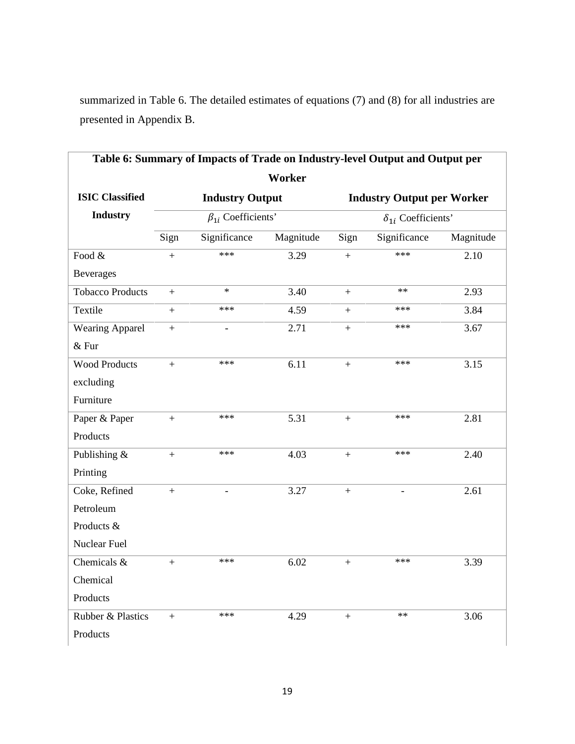summarized in Table 6. The detailed estimates of equations (7) and (8) for all industries are presented in Appendix B.

|                           | Table 6: Summary of Impacts of Trade on Industry-level Output and Output per |                            |           |                             |                                   |           |
|---------------------------|------------------------------------------------------------------------------|----------------------------|-----------|-----------------------------|-----------------------------------|-----------|
|                           |                                                                              |                            | Worker    |                             |                                   |           |
| <b>ISIC Classified</b>    |                                                                              | <b>Industry Output</b>     |           |                             | <b>Industry Output per Worker</b> |           |
| <b>Industry</b>           |                                                                              | $\beta_{1i}$ Coefficients' |           | $\delta_{1i}$ Coefficients' |                                   |           |
|                           | Sign                                                                         | Significance               | Magnitude | Sign                        | Significance                      | Magnitude |
| Food &                    | $\qquad \qquad +$                                                            | ***                        | 3.29      | $+$                         | ***                               | 2.10      |
| <b>Beverages</b>          |                                                                              |                            |           |                             |                                   |           |
| <b>Tobacco Products</b>   | $+$                                                                          | $\ast$                     | 3.40      | $+$                         | $**$                              | 2.93      |
| Textile                   | $+$                                                                          | ***                        | 4.59      | $+$                         | ***                               | 3.84      |
| <b>Wearing Apparel</b>    | $+$                                                                          | $\overline{\phantom{a}}$   | 2.71      | $+$                         | $***$                             | 3.67      |
| $&$ Fur                   |                                                                              |                            |           |                             |                                   |           |
| <b>Wood Products</b>      | $+$                                                                          | $***$                      | 6.11      | $+$                         | ***                               | 3.15      |
| excluding                 |                                                                              |                            |           |                             |                                   |           |
| Furniture                 |                                                                              |                            |           |                             |                                   |           |
| Paper & Paper             | $\boldsymbol{+}$                                                             | $***$                      | 5.31      | $+$                         | $***$                             | 2.81      |
| Products                  |                                                                              |                            |           |                             |                                   |           |
| Publishing &              | $+$                                                                          | ***                        | 4.03      | $\boldsymbol{+}$            | ***                               | 2.40      |
| Printing                  |                                                                              |                            |           |                             |                                   |           |
| Coke, Refined             | $+$                                                                          | $\overline{\phantom{a}}$   | 3.27      | $+$                         | $\overline{\phantom{a}}$          | 2.61      |
| Petroleum                 |                                                                              |                            |           |                             |                                   |           |
| Products &                |                                                                              |                            |           |                             |                                   |           |
| Nuclear Fuel              |                                                                              |                            |           |                             |                                   |           |
| Chemicals $\overline{\&}$ | $\boldsymbol{+}$                                                             | $***$                      | 6.02      | $\ddot{}$                   | $***$                             | 3.39      |
| Chemical                  |                                                                              |                            |           |                             |                                   |           |
| Products                  |                                                                              |                            |           |                             |                                   |           |
| Rubber & Plastics         | $+$                                                                          | $***$                      | 4.29      | $\boldsymbol{+}$            | $***$                             | 3.06      |
| Products                  |                                                                              |                            |           |                             |                                   |           |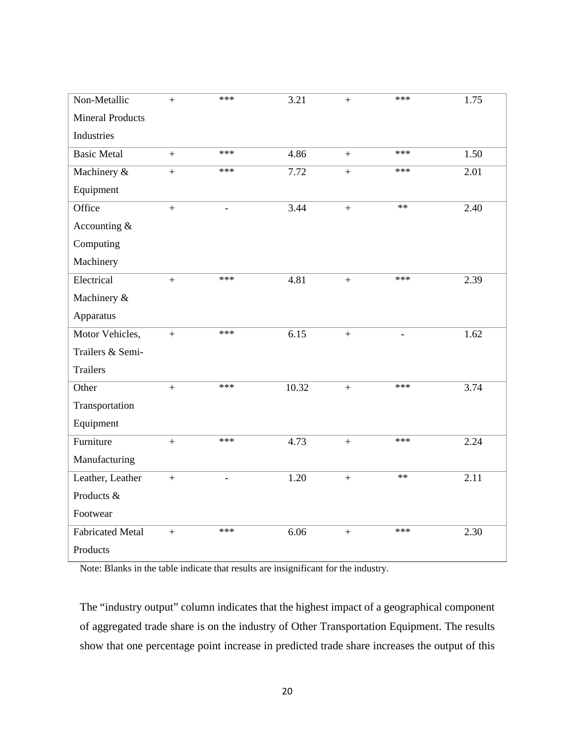| Non-Metallic            | $+$               | ***                      | 3.21  | $+$        | ***   | 1.75 |
|-------------------------|-------------------|--------------------------|-------|------------|-------|------|
| <b>Mineral Products</b> |                   |                          |       |            |       |      |
| Industries              |                   |                          |       |            |       |      |
| <b>Basic Metal</b>      | $\boldsymbol{+}$  | ***                      | 4.86  | $+$        | ***   | 1.50 |
| Machinery &             | $\qquad \qquad +$ | ***                      | 7.72  | $^{+}$     | ***   | 2.01 |
| Equipment               |                   |                          |       |            |       |      |
| Office                  | $+$               | $\overline{\phantom{a}}$ | 3.44  | $\ddot{}$  | $**$  | 2.40 |
| Accounting &            |                   |                          |       |            |       |      |
| Computing               |                   |                          |       |            |       |      |
| Machinery               |                   |                          |       |            |       |      |
| Electrical              | $\qquad \qquad +$ | ***                      | 4.81  | $+$        | ***   | 2.39 |
| Machinery &             |                   |                          |       |            |       |      |
| Apparatus               |                   |                          |       |            |       |      |
| Motor Vehicles,         | $+$               | ***                      | 6.15  | $+$        |       | 1.62 |
| Trailers & Semi-        |                   |                          |       |            |       |      |
| <b>Trailers</b>         |                   |                          |       |            |       |      |
| Other                   | $\qquad \qquad +$ | ***                      | 10.32 | $\ddot{+}$ | ***   | 3.74 |
| Transportation          |                   |                          |       |            |       |      |
| Equipment               |                   |                          |       |            |       |      |
| Furniture               | $\boldsymbol{+}$  | ***                      | 4.73  | $\ddot{}$  | $***$ | 2.24 |
| Manufacturing           |                   |                          |       |            |       |      |
| Leather, Leather        | $+$               | $\overline{\phantom{a}}$ | 1.20  | $+$        | $**$  | 2.11 |
| Products &              |                   |                          |       |            |       |      |
| Footwear                |                   |                          |       |            |       |      |
| <b>Fabricated Metal</b> | $\ddot{+}$        | ***                      | 6.06  | $\ddot{+}$ | ***   | 2.30 |
| Products                |                   |                          |       |            |       |      |

Note: Blanks in the table indicate that results are insignificant for the industry.

The "industry output" column indicates that the highest impact of a geographical component of aggregated trade share is on the industry of Other Transportation Equipment. The results show that one percentage point increase in predicted trade share increases the output of this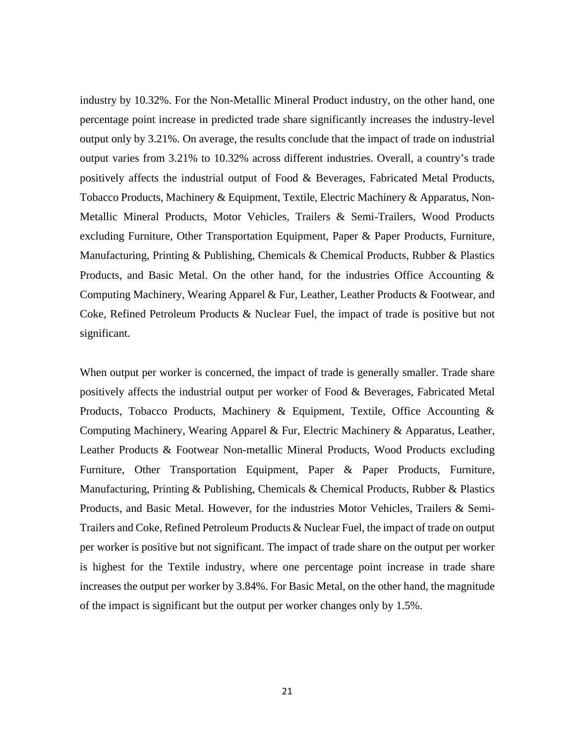industry by 10.32%. For the Non-Metallic Mineral Product industry, on the other hand, one percentage point increase in predicted trade share significantly increases the industry-level output only by 3.21%. On average, the results conclude that the impact of trade on industrial output varies from 3.21% to 10.32% across different industries. Overall, a country's trade positively affects the industrial output of Food & Beverages, Fabricated Metal Products, Tobacco Products, Machinery & Equipment, Textile, Electric Machinery & Apparatus, Non-Metallic Mineral Products, Motor Vehicles, Trailers & Semi-Trailers, Wood Products excluding Furniture, Other Transportation Equipment, Paper & Paper Products, Furniture, Manufacturing, Printing & Publishing, Chemicals & Chemical Products, Rubber & Plastics Products, and Basic Metal. On the other hand, for the industries Office Accounting  $\&$ Computing Machinery, Wearing Apparel & Fur, Leather, Leather Products & Footwear, and Coke, Refined Petroleum Products & Nuclear Fuel, the impact of trade is positive but not significant.

When output per worker is concerned, the impact of trade is generally smaller. Trade share positively affects the industrial output per worker of Food & Beverages, Fabricated Metal Products, Tobacco Products, Machinery & Equipment, Textile, Office Accounting  $\&$ Computing Machinery, Wearing Apparel & Fur, Electric Machinery & Apparatus, Leather, Leather Products & Footwear Non-metallic Mineral Products, Wood Products excluding Furniture, Other Transportation Equipment, Paper & Paper Products, Furniture, Manufacturing, Printing & Publishing, Chemicals & Chemical Products, Rubber & Plastics Products, and Basic Metal. However, for the industries Motor Vehicles, Trailers & Semi-Trailers and Coke, Refined Petroleum Products & Nuclear Fuel, the impact of trade on output per worker is positive but not significant. The impact of trade share on the output per worker is highest for the Textile industry, where one percentage point increase in trade share increases the output per worker by 3.84%. For Basic Metal, on the other hand, the magnitude of the impact is significant but the output per worker changes only by 1.5%.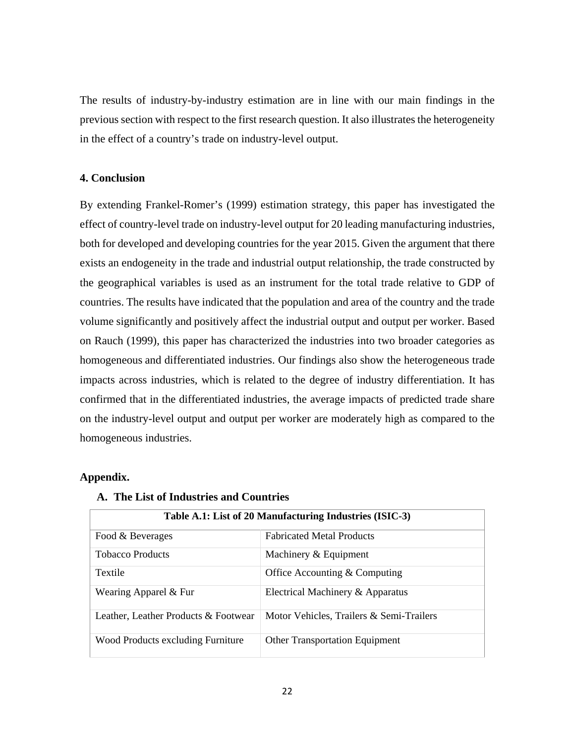The results of industry-by-industry estimation are in line with our main findings in the previous section with respect to the first research question. It also illustrates the heterogeneity in the effect of a country's trade on industry-level output.

## **4. Conclusion**

By extending Frankel-Romer's (1999) estimation strategy, this paper has investigated the effect of country-level trade on industry-level output for 20 leading manufacturing industries, both for developed and developing countries for the year 2015. Given the argument that there exists an endogeneity in the trade and industrial output relationship, the trade constructed by the geographical variables is used as an instrument for the total trade relative to GDP of countries. The results have indicated that the population and area of the country and the trade volume significantly and positively affect the industrial output and output per worker. Based on Rauch (1999), this paper has characterized the industries into two broader categories as homogeneous and differentiated industries. Our findings also show the heterogeneous trade impacts across industries, which is related to the degree of industry differentiation. It has confirmed that in the differentiated industries, the average impacts of predicted trade share on the industry-level output and output per worker are moderately high as compared to the homogeneous industries.

## **Appendix.**

| Table A.1: List of 20 Manufacturing Industries (ISIC-3) |                                          |  |  |  |
|---------------------------------------------------------|------------------------------------------|--|--|--|
| Food & Beverages                                        | <b>Fabricated Metal Products</b>         |  |  |  |
| <b>Tobacco Products</b>                                 | Machinery & Equipment                    |  |  |  |
| <b>Textile</b>                                          | Office Accounting $&$ Computing          |  |  |  |
| Wearing Apparel & Fur                                   | Electrical Machinery & Apparatus         |  |  |  |
| Leather, Leather Products & Footwear                    | Motor Vehicles, Trailers & Semi-Trailers |  |  |  |
| Wood Products excluding Furniture                       | <b>Other Transportation Equipment</b>    |  |  |  |

#### **A. The List of Industries and Countries**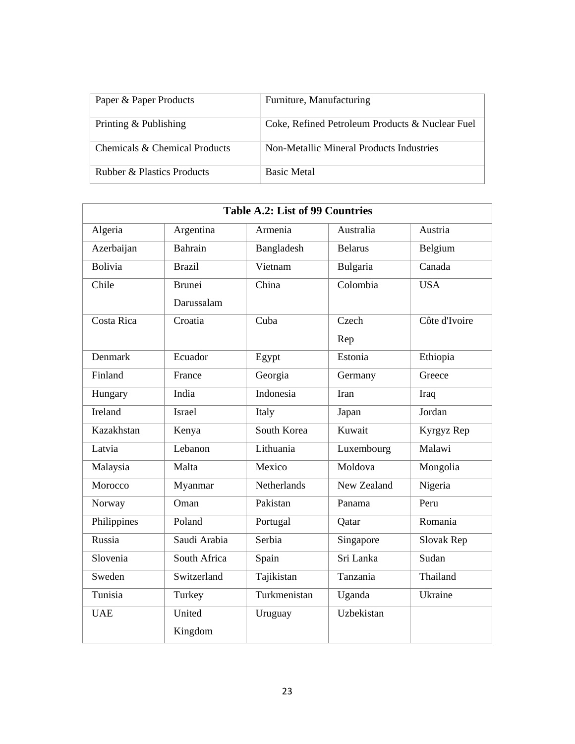| Paper & Paper Products                | Furniture, Manufacturing                        |
|---------------------------------------|-------------------------------------------------|
| Printing & Publishing                 | Coke, Refined Petroleum Products & Nuclear Fuel |
| Chemicals & Chemical Products         | Non-Metallic Mineral Products Industries        |
| <b>Rubber &amp; Plastics Products</b> | <b>Basic Metal</b>                              |

| <b>Table A.2: List of 99 Countries</b> |                              |              |                |               |  |  |  |  |  |
|----------------------------------------|------------------------------|--------------|----------------|---------------|--|--|--|--|--|
| Algeria                                | Argentina                    | Armenia      | Australia      | Austria       |  |  |  |  |  |
| Azerbaijan                             | Bahrain                      | Bangladesh   | <b>Belarus</b> | Belgium       |  |  |  |  |  |
| <b>Bolivia</b>                         | <b>Brazil</b>                | Vietnam      | Bulgaria       | Canada        |  |  |  |  |  |
| Chile                                  | Brunei                       | China        | Colombia       | <b>USA</b>    |  |  |  |  |  |
|                                        | Darussalam                   |              |                |               |  |  |  |  |  |
| Costa Rica                             | Croatia                      | Cuba         | Czech          | Côte d'Ivoire |  |  |  |  |  |
|                                        |                              |              | Rep            |               |  |  |  |  |  |
| <b>Denmark</b>                         | Ecuador                      | Egypt        | Estonia        | Ethiopia      |  |  |  |  |  |
| Finland                                | France                       | Georgia      | Germany        | Greece        |  |  |  |  |  |
| Hungary                                | India                        | Indonesia    | Iran           | Iraq          |  |  |  |  |  |
| Ireland                                | <b>Israel</b>                | Italy        | Japan          | Jordan        |  |  |  |  |  |
| Kazakhstan                             | Kenya                        | South Korea  | Kuwait         | Kyrgyz Rep    |  |  |  |  |  |
| Latvia                                 | $\overline{\text{Leb}}$ anon | Lithuania    | Luxembourg     | Malawi        |  |  |  |  |  |
| Malaysia                               | Malta                        | Mexico       | Moldova        | Mongolia      |  |  |  |  |  |
| Morocco                                | Myanmar                      | Netherlands  | New Zealand    | Nigeria       |  |  |  |  |  |
| Norway                                 | Oman                         | Pakistan     | Panama         | Peru          |  |  |  |  |  |
| Philippines                            | Poland                       | Portugal     | Qatar          | Romania       |  |  |  |  |  |
| Russia                                 | Saudi Arabia                 | Serbia       | Singapore      | Slovak Rep    |  |  |  |  |  |
| Slovenia                               | South Africa                 | Spain        | Sri Lanka      | Sudan         |  |  |  |  |  |
| Sweden                                 | Switzerland                  | Tajikistan   | Tanzania       | Thailand      |  |  |  |  |  |
| Tunisia                                | Turkey                       | Turkmenistan | Uganda         | Ukraine       |  |  |  |  |  |
| <b>UAE</b>                             | United                       | Uruguay      | Uzbekistan     |               |  |  |  |  |  |
|                                        | Kingdom                      |              |                |               |  |  |  |  |  |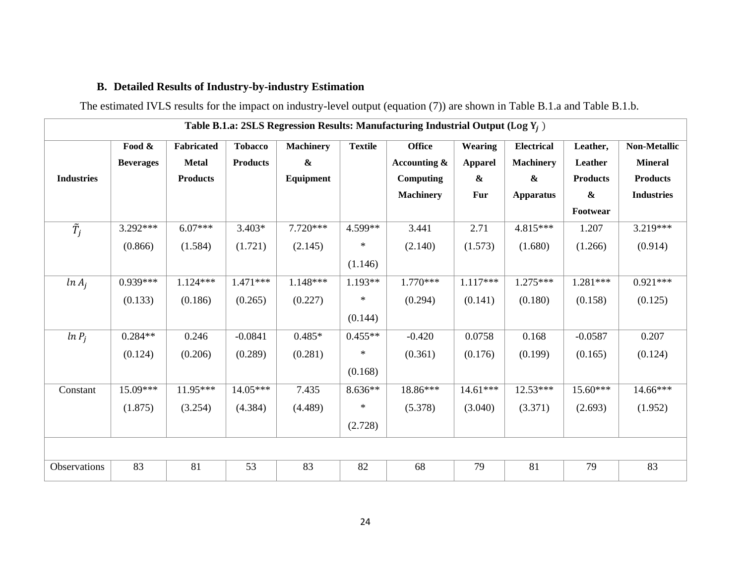# **B. Detailed Results of Industry-by-industry Estimation**

The estimated IVLS results for the impact on industry-level output (equation (7)) are shown in Table B.1.a and Table B.1.b.

|                   | Table B.1.a: 2SLS Regression Results: Manufacturing Industrial Output (Log $Y_i$ ) |                 |                 |                  |                |                  |                   |                   |                 |                     |
|-------------------|------------------------------------------------------------------------------------|-----------------|-----------------|------------------|----------------|------------------|-------------------|-------------------|-----------------|---------------------|
|                   | Food &                                                                             | Fabricated      | <b>Tobacco</b>  | <b>Machinery</b> | <b>Textile</b> | <b>Office</b>    | Wearing           | <b>Electrical</b> | Leather,        | <b>Non-Metallic</b> |
|                   | <b>Beverages</b>                                                                   | <b>Metal</b>    | <b>Products</b> | $\pmb{\&}$       |                | Accounting &     | <b>Apparel</b>    | <b>Machinery</b>  | Leather         | <b>Mineral</b>      |
| <b>Industries</b> |                                                                                    | <b>Products</b> |                 | Equipment        |                | Computing        | $\boldsymbol{\&}$ | $\boldsymbol{\&}$ | <b>Products</b> | <b>Products</b>     |
|                   |                                                                                    |                 |                 |                  |                | <b>Machinery</b> | Fur               | <b>Apparatus</b>  | $\pmb{\&}$      | <b>Industries</b>   |
|                   |                                                                                    |                 |                 |                  |                |                  |                   |                   | Footwear        |                     |
| $\tilde{T}_i$     | 3.292***                                                                           | $6.07***$       | $3.403*$        | 7.720***         | 4.599**        | 3.441            | 2.71              | 4.815***          | 1.207           | 3.219***            |
|                   | (0.866)                                                                            | (1.584)         | (1.721)         | (2.145)          | $\ast$         | (2.140)          | (1.573)           | (1.680)           | (1.266)         | (0.914)             |
|                   |                                                                                    |                 |                 |                  | (1.146)        |                  |                   |                   |                 |                     |
| $ln A_i$          | $0.939***$                                                                         | $1.124***$      | $1.471***$      | $1.148***$       | 1.193**        | $1.770***$       | $1.117***$        | $1.275***$        | $1.281***$      | $0.921***$          |
|                   | (0.133)                                                                            | (0.186)         | (0.265)         | (0.227)          | $\ast$         | (0.294)          | (0.141)           | (0.180)           | (0.158)         | (0.125)             |
|                   |                                                                                    |                 |                 |                  | (0.144)        |                  |                   |                   |                 |                     |
| $ln P_i$          | $0.284**$                                                                          | 0.246           | $-0.0841$       | $0.485*$         | $0.455**$      | $-0.420$         | 0.0758            | 0.168             | $-0.0587$       | 0.207               |
|                   | (0.124)                                                                            | (0.206)         | (0.289)         | (0.281)          | $\ast$         | (0.361)          | (0.176)           | (0.199)           | (0.165)         | (0.124)             |
|                   |                                                                                    |                 |                 |                  | (0.168)        |                  |                   |                   |                 |                     |
| Constant          | 15.09***                                                                           | 11.95***        | $14.05***$      | 7.435            | 8.636**        | 18.86***         | $14.61***$        | $12.53***$        | 15.60***        | 14.66***            |
|                   | (1.875)                                                                            | (3.254)         | (4.384)         | (4.489)          | $\ast$         | (5.378)          | (3.040)           | (3.371)           | (2.693)         | (1.952)             |
|                   |                                                                                    |                 |                 |                  | (2.728)        |                  |                   |                   |                 |                     |
|                   |                                                                                    |                 |                 |                  |                |                  |                   |                   |                 |                     |
| Observations      | 83                                                                                 | 81              | 53              | 83               | 82             | 68               | 79                | 81                | 79              | 83                  |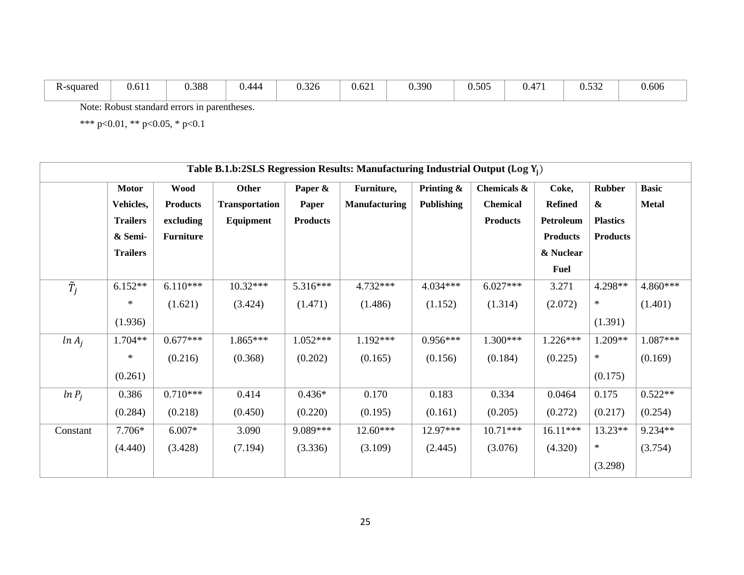| <b>K-squared</b> | $\sim$ 4<br>0.01 | 0.388 | J 444<br>◡… | $\Omega$<br>0.326 | $\sim$<br>0.62 | 0.390<br>. | 0.505 | $\overline{\phantom{0}}$<br>0.4 <sub>1</sub> | $\sim$<br>$\mathsf{v}.\mathsf{v}.\mathsf{v}$ | 0.606 |
|------------------|------------------|-------|-------------|-------------------|----------------|------------|-------|----------------------------------------------|----------------------------------------------|-------|
|------------------|------------------|-------|-------------|-------------------|----------------|------------|-------|----------------------------------------------|----------------------------------------------|-------|

Note: Robust standard errors in parentheses.

|               | Table B.1.b:2SLS Regression Results: Manufacturing Industrial Output (Log $Y_i$ ) |                 |                       |                 |                      |                   |                 |                 |                 |              |
|---------------|-----------------------------------------------------------------------------------|-----------------|-----------------------|-----------------|----------------------|-------------------|-----------------|-----------------|-----------------|--------------|
|               | <b>Motor</b>                                                                      | <b>Wood</b>     | <b>Other</b>          | Paper &         | Furniture,           | Printing $\&$     | Chemicals &     | Coke,           | <b>Rubber</b>   | <b>Basic</b> |
|               | Vehicles,                                                                         | <b>Products</b> | <b>Transportation</b> | Paper           | <b>Manufacturing</b> | <b>Publishing</b> | <b>Chemical</b> | <b>Refined</b>  | &               | <b>Metal</b> |
|               | <b>Trailers</b>                                                                   | excluding       | Equipment             | <b>Products</b> |                      |                   | <b>Products</b> | Petroleum       | <b>Plastics</b> |              |
|               | & Semi-                                                                           | Furniture       |                       |                 |                      |                   |                 | <b>Products</b> | <b>Products</b> |              |
|               | <b>Trailers</b>                                                                   |                 |                       |                 |                      |                   |                 | & Nuclear       |                 |              |
|               |                                                                                   |                 |                       |                 |                      |                   |                 | <b>Fuel</b>     |                 |              |
| $\tilde{T}_i$ | $6.152**$                                                                         | $6.110***$      | $10.32***$            | 5.316***        | 4.732***             | 4.034***          | $6.027***$      | 3.271           | 4.298**         | 4.860***     |
|               | ∗                                                                                 | (1.621)         | (3.424)               | (1.471)         | (1.486)              | (1.152)           | (1.314)         | (2.072)         | $\ast$          | (1.401)      |
|               | (1.936)                                                                           |                 |                       |                 |                      |                   |                 |                 | (1.391)         |              |
| $ln A_i$      | $1.704**$                                                                         | $0.677***$      | $1.865***$            | $1.052***$      | $1.192***$           | $0.956***$        | $1.300***$      | $1.226***$      | 1.209**         | $1.087***$   |
|               | ∗                                                                                 | (0.216)         | (0.368)               | (0.202)         | (0.165)              | (0.156)           | (0.184)         | (0.225)         | $\ast$          | (0.169)      |
|               | (0.261)                                                                           |                 |                       |                 |                      |                   |                 |                 | (0.175)         |              |
| $ln P_i$      | 0.386                                                                             | $0.710***$      | 0.414                 | $0.436*$        | 0.170                | 0.183             | 0.334           | 0.0464          | 0.175           | $0.522**$    |
|               | (0.284)                                                                           | (0.218)         | (0.450)               | (0.220)         | (0.195)              | (0.161)           | (0.205)         | (0.272)         | (0.217)         | (0.254)      |
| Constant      | 7.706*                                                                            | $6.007*$        | 3.090                 | 9.089***        | $12.60***$           | 12.97***          | $10.71***$      | $16.11***$      | 13.23**         | 9.234**      |
|               | (4.440)                                                                           | (3.428)         | (7.194)               | (3.336)         | (3.109)              | (2.445)           | (3.076)         | (4.320)         | $\ast$          | (3.754)      |
|               |                                                                                   |                 |                       |                 |                      |                   |                 |                 | (3.298)         |              |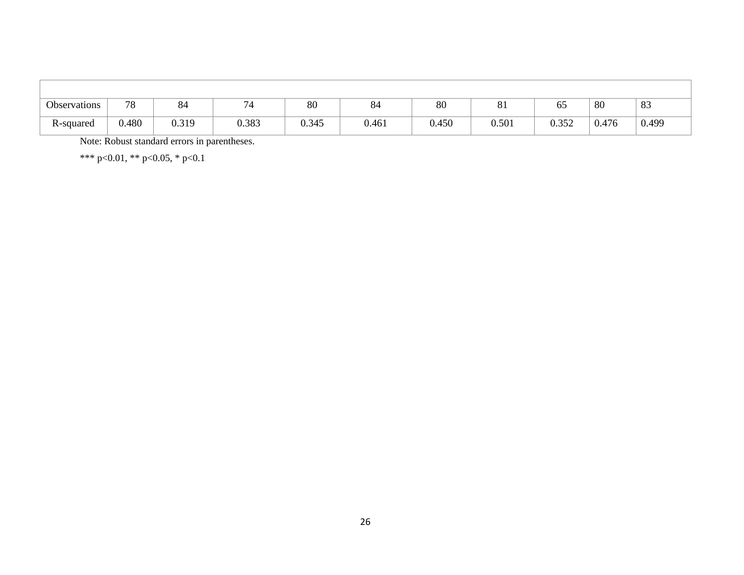| Observations | 78    | $Q \wedge$<br>O4 | $\sim$<br>74 | 80    | о.<br>84 | 80    | 01    | 65    | 80    | 83    |
|--------------|-------|------------------|--------------|-------|----------|-------|-------|-------|-------|-------|
| R-squared    | 0.480 | 0.319            | 0.383        | 0.345 | 0.461    | 0.450 | 0.501 | 0.352 | 0.476 | 0.499 |

Note: Robust standard errors in parentheses.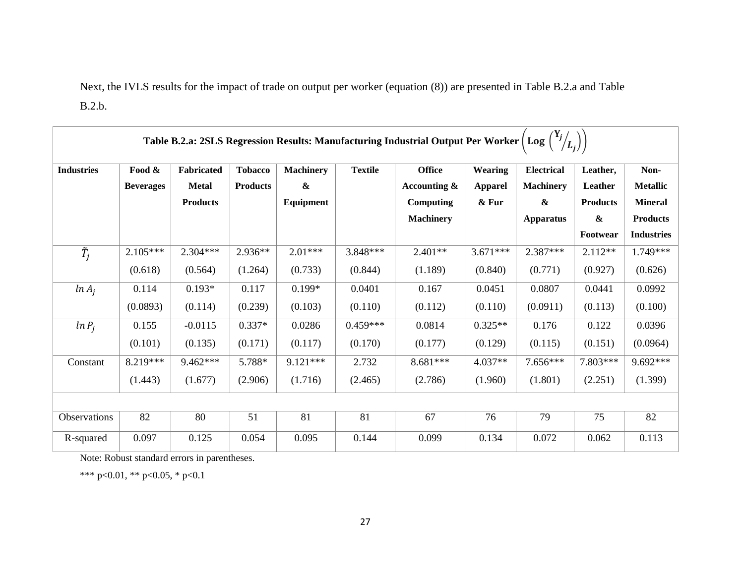Next, the IVLS results for the impact of trade on output per worker (equation (8)) are presented in Table B.2.a and Table B.2.b.

|                   | Table B.2.a: 2SLS Regression Results: Manufacturing Industrial Output Per Worker   Log |                   |                 |                   |                |                  |                |                   |                 |                   |
|-------------------|----------------------------------------------------------------------------------------|-------------------|-----------------|-------------------|----------------|------------------|----------------|-------------------|-----------------|-------------------|
| <b>Industries</b> | Food &                                                                                 | <b>Fabricated</b> | <b>Tobacco</b>  | <b>Machinery</b>  | <b>Textile</b> | <b>Office</b>    | Wearing        | <b>Electrical</b> | Leather,        | Non-              |
|                   | <b>Beverages</b>                                                                       | <b>Metal</b>      | <b>Products</b> | $\boldsymbol{\&}$ |                | Accounting &     | <b>Apparel</b> | <b>Machinery</b>  | Leather         | <b>Metallic</b>   |
|                   |                                                                                        | <b>Products</b>   |                 | Equipment         |                | Computing        | & Fur          | $\pmb{\&}$        | <b>Products</b> | <b>Mineral</b>    |
|                   |                                                                                        |                   |                 |                   |                | <b>Machinery</b> |                | <b>Apparatus</b>  | $\pmb{\&}$      | <b>Products</b>   |
|                   |                                                                                        |                   |                 |                   |                |                  |                |                   | Footwear        | <b>Industries</b> |
| $\tilde{T}_i$     | $2.105***$                                                                             | $2.304***$        | $2.936**$       | $2.01***$         | 3.848***       | $2.401**$        | $3.671***$     | 2.387***          | $2.112**$       | 1.749***          |
|                   | (0.618)                                                                                | (0.564)           | (1.264)         | (0.733)           | (0.844)        | (1.189)          | (0.840)        | (0.771)           | (0.927)         | (0.626)           |
| $ln A_i$          | 0.114                                                                                  | $0.193*$          | 0.117           | $0.199*$          | 0.0401         | 0.167            | 0.0451         | 0.0807            | 0.0441          | 0.0992            |
|                   | (0.0893)                                                                               | (0.114)           | (0.239)         | (0.103)           | (0.110)        | (0.112)          | (0.110)        | (0.0911)          | (0.113)         | (0.100)           |
| $ln P_i$          | 0.155                                                                                  | $-0.0115$         | $0.337*$        | 0.0286            | $0.459***$     | 0.0814           | $0.325**$      | 0.176             | 0.122           | 0.0396            |
|                   | (0.101)                                                                                | (0.135)           | (0.171)         | (0.117)           | (0.170)        | (0.177)          | (0.129)        | (0.115)           | (0.151)         | (0.0964)          |
| Constant          | 8.219***                                                                               | 9.462***          | 5.788*          | $9.121***$        | 2.732          | 8.681***         | $4.037**$      | $7.656***$        | 7.803***        | 9.692***          |
|                   | (1.443)                                                                                | (1.677)           | (2.906)         | (1.716)           | (2.465)        | (2.786)          | (1.960)        | (1.801)           | (2.251)         | (1.399)           |
|                   |                                                                                        |                   |                 |                   |                |                  |                |                   |                 |                   |
| Observations      | 82                                                                                     | 80                | 51              | 81                | 81             | 67               | 76             | 79                | 75              | 82                |
| R-squared         | 0.097                                                                                  | 0.125             | 0.054           | 0.095             | 0.144          | 0.099            | 0.134          | 0.072             | 0.062           | 0.113             |

Note: Robust standard errors in parentheses.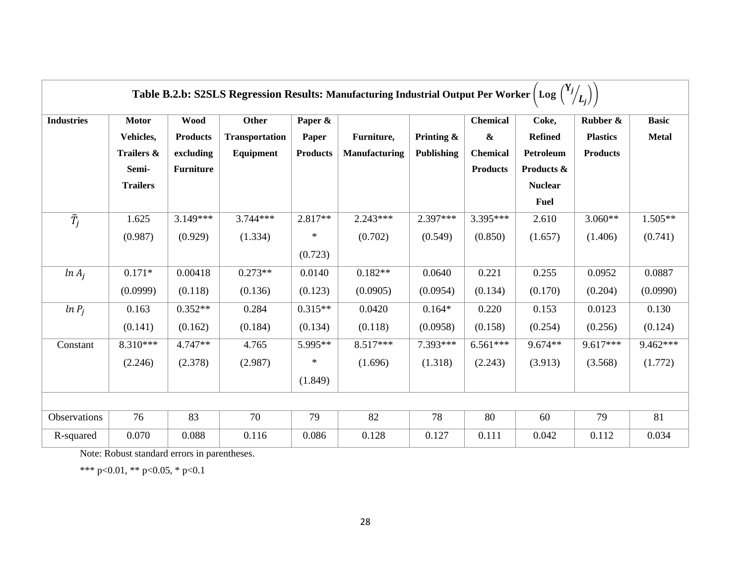|                          | Table B.2.b: S2SLS Regression Results: Manufacturing Industrial Output Per Worker  <br>$\lfloor Log \rfloor$ |                                             |                                             |                                     |                             |                                    |                                                         |                                      |                                                |                              |
|--------------------------|--------------------------------------------------------------------------------------------------------------|---------------------------------------------|---------------------------------------------|-------------------------------------|-----------------------------|------------------------------------|---------------------------------------------------------|--------------------------------------|------------------------------------------------|------------------------------|
| <b>Industries</b>        | <b>Motor</b><br>Vehicles,<br>Trailers &                                                                      | <b>Wood</b><br><b>Products</b><br>excluding | Other<br><b>Transportation</b><br>Equipment | Paper &<br>Paper<br><b>Products</b> | Furniture,<br>Manufacturing | Printing $\&$<br><b>Publishing</b> | <b>Chemical</b><br>$\boldsymbol{\&}$<br><b>Chemical</b> | Coke,<br><b>Refined</b><br>Petroleum | Rubber &<br><b>Plastics</b><br><b>Products</b> | <b>Basic</b><br><b>Metal</b> |
|                          | Semi-<br><b>Trailers</b>                                                                                     | <b>Furniture</b>                            |                                             |                                     |                             |                                    | <b>Products</b>                                         | Products &<br><b>Nuclear</b>         |                                                |                              |
|                          |                                                                                                              |                                             |                                             |                                     |                             |                                    |                                                         | <b>Fuel</b>                          |                                                |                              |
| $\overline{\tilde{T}_j}$ | 1.625                                                                                                        | $3.149***$                                  | $3.744***$                                  | $2.817**$                           | $2.243***$                  | 2.397***                           | 3.395***                                                | 2.610                                | $3.060**$                                      | $1.505**$                    |
|                          | (0.987)                                                                                                      | (0.929)                                     | (1.334)                                     | $\ast$                              | (0.702)                     | (0.549)                            | (0.850)                                                 | (1.657)                              | (1.406)                                        | (0.741)                      |
|                          |                                                                                                              |                                             |                                             | (0.723)                             |                             |                                    |                                                         |                                      |                                                |                              |
| $ln A_i$                 | $0.171*$                                                                                                     | 0.00418                                     | $0.273**$                                   | 0.0140                              | $0.182**$                   | 0.0640                             | 0.221                                                   | 0.255                                | 0.0952                                         | 0.0887                       |
|                          | (0.0999)                                                                                                     | (0.118)                                     | (0.136)                                     | (0.123)                             | (0.0905)                    | (0.0954)                           | (0.134)                                                 | (0.170)                              | (0.204)                                        | (0.0990)                     |
| $ln P_i$                 | 0.163                                                                                                        | $0.352**$                                   | 0.284                                       | $0.315**$                           | 0.0420                      | $0.164*$                           | 0.220                                                   | 0.153                                | 0.0123                                         | 0.130                        |
|                          | (0.141)                                                                                                      | (0.162)                                     | (0.184)                                     | (0.134)                             | (0.118)                     | (0.0958)                           | (0.158)                                                 | (0.254)                              | (0.256)                                        | (0.124)                      |
| Constant                 | 8.310***                                                                                                     | 4.747**                                     | 4.765                                       | 5.995**                             | 8.517***                    | 7.393***                           | $6.561***$                                              | 9.674**                              | 9.617***                                       | 9.462***                     |
|                          | (2.246)                                                                                                      | (2.378)                                     | (2.987)                                     | $\ast$                              | (1.696)                     | (1.318)                            | (2.243)                                                 | (3.913)                              | (3.568)                                        | (1.772)                      |
|                          |                                                                                                              |                                             |                                             | (1.849)                             |                             |                                    |                                                         |                                      |                                                |                              |
|                          |                                                                                                              |                                             |                                             |                                     |                             |                                    |                                                         |                                      |                                                |                              |
| Observations             | 76                                                                                                           | 83                                          | 70                                          | 79                                  | 82                          | 78                                 | 80                                                      | 60                                   | 79                                             | 81                           |
| R-squared                | 0.070                                                                                                        | 0.088                                       | 0.116                                       | 0.086                               | 0.128                       | 0.127                              | 0.111                                                   | 0.042                                | 0.112                                          | 0.034                        |

Note: Robust standard errors in parentheses.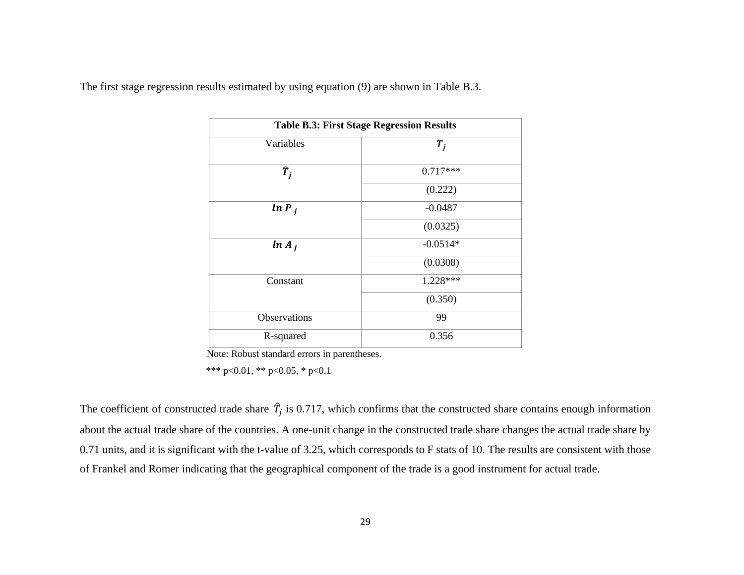The first stage regression results estimated by using equation (9) are shown in Table B.3.

| <b>Table B.3: First Stage Regression Results</b> |            |  |  |  |  |  |  |
|--------------------------------------------------|------------|--|--|--|--|--|--|
| Variables                                        | $T_i$      |  |  |  |  |  |  |
| $\widehat{T}_i$                                  | $0.717***$ |  |  |  |  |  |  |
|                                                  | (0.222)    |  |  |  |  |  |  |
| $ln P_i$                                         | $-0.0487$  |  |  |  |  |  |  |
|                                                  | (0.0325)   |  |  |  |  |  |  |
| $ln A_i$                                         | $-0.0514*$ |  |  |  |  |  |  |
|                                                  | (0.0308)   |  |  |  |  |  |  |
| Constant                                         | 1.228***   |  |  |  |  |  |  |
|                                                  | (0.350)    |  |  |  |  |  |  |
| Observations                                     | 99         |  |  |  |  |  |  |
| R-squared                                        | 0.356      |  |  |  |  |  |  |

Note: Robust standard errors in parentheses.

\*\*\* p<0.01, \*\* p<0.05, \* p<0.1

The coefficient of constructed trade share  $\hat{T}_j$  is 0.717, which confirms that the constructed share contains enough information about the actual trade share of the countries. A one-unit change in the constructed trade share changes the actual trade share by 0.71 units, and it is significant with the t-value of 3.25, which corresponds to F stats of 10. The results are consistent with those of Frankel and Romer indicating that the geographical component of the trade is a good instrument for actual trade.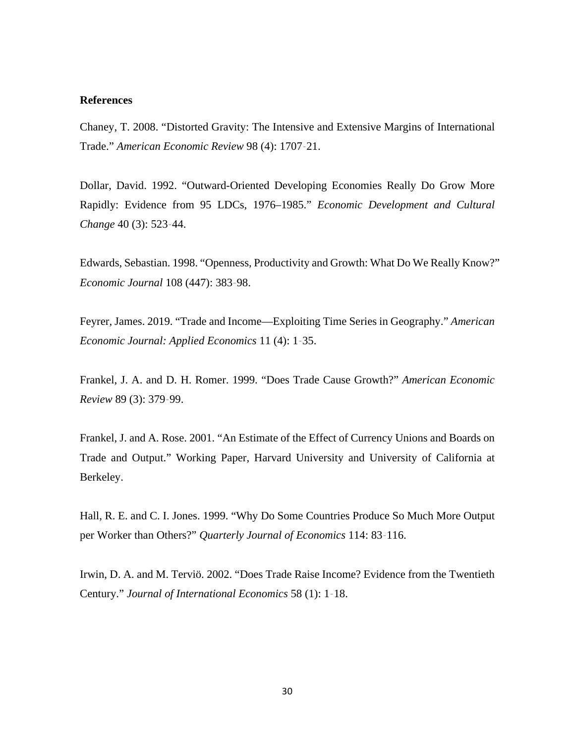## **References**

Chaney, T. 2008. "Distorted Gravity: The Intensive and Extensive Margins of International Trade." *American Economic Review* 98 (4): 1707–21.

Dollar, David. 1992. "Outward-Oriented Developing Economies Really Do Grow More Rapidly: Evidence from 95 LDCs, 1976–1985." *Economic Development and Cultural Change* 40 (3): 523–44.

Edwards, Sebastian. 1998. "Openness, Productivity and Growth: What Do We Really Know?" *Economic Journal* 108 (447): 383–98.

Feyrer, James. 2019. "Trade and Income—Exploiting Time Series in Geography." *American Economic Journal: Applied Economics* 11 (4): 1–35.

Frankel, J. A. and D. H. Romer. 1999. "Does Trade Cause Growth?" *American Economic Review* 89 (3): 379–99.

Frankel, J. and A. Rose. 2001. "An Estimate of the Effect of Currency Unions and Boards on Trade and Output." Working Paper, Harvard University and University of California at Berkeley.

Hall, R. E. and C. I. Jones. 1999. "Why Do Some Countries Produce So Much More Output per Worker than Others?" *Quarterly Journal of Economics* 114: 83–116.

Irwin, D. A. and M. Terviö. 2002. "Does Trade Raise Income? Evidence from the Twentieth Century." *Journal of International Economics* 58 (1): 1–18.